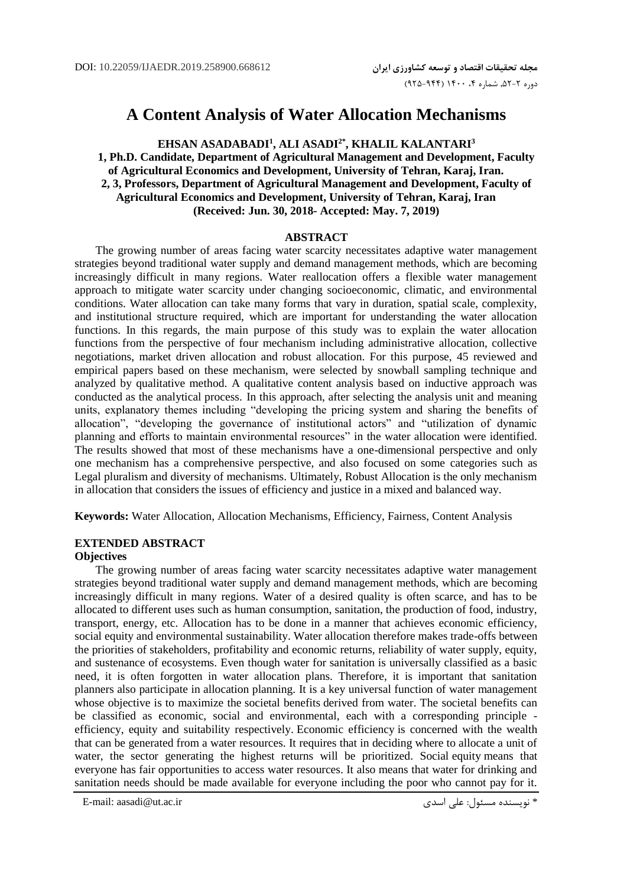# **A Content Analysis of Water Allocation Mechanisms**

# **EHSAN ASADABADI<sup>1</sup> , ALI ASADI2\*, KHALIL KALANTARI<sup>3</sup>**

**1, Ph.D. Candidate, Department of Agricultural Management and Development, Faculty of Agricultural Economics and Development, University of Tehran, Karaj, Iran. 2, 3, Professors, Department of Agricultural Management and Development, Faculty of Agricultural Economics and Development, University of Tehran, Karaj, Iran (Received: Jun. 30, 2018- Accepted: May. 7, 2019)** 

## **ABSTRACT**

The growing number of areas facing water scarcity necessitates adaptive water management strategies beyond traditional water supply and demand management methods, which are becoming increasingly difficult in many regions. Water reallocation offers a flexible water management approach to mitigate water scarcity under changing socioeconomic, climatic, and environmental conditions. Water allocation can take many forms that vary in duration, spatial scale, complexity, and institutional structure required, which are important for understanding the water allocation functions. In this regards, the main purpose of this study was to explain the water allocation functions from the perspective of four mechanism including administrative allocation, collective negotiations, market driven allocation and robust allocation. For this purpose, 45 reviewed and empirical papers based on these mechanism, were selected by snowball sampling technique and analyzed by qualitative method. A qualitative content analysis based on inductive approach was conducted as the analytical process. In this approach, after selecting the analysis unit and meaning units, explanatory themes including "developing the pricing system and sharing the benefits of allocation", "developing the governance of institutional actors" and "utilization of dynamic planning and efforts to maintain environmental resources" in the water allocation were identified. The results showed that most of these mechanisms have a one-dimensional perspective and only one mechanism has a comprehensive perspective, and also focused on some categories such as Legal pluralism and diversity of mechanisms. Ultimately, Robust Allocation is the only mechanism in allocation that considers the issues of efficiency and justice in a mixed and balanced way.

**Keywords:** Water Allocation, Allocation Mechanisms, Efficiency, Fairness, Content Analysis

# **EXTENDED ABSTRACT**

## **Objectives**

The growing number of areas facing water scarcity necessitates adaptive water management strategies beyond traditional water supply and demand management methods, which are becoming increasingly difficult in many regions. Water of a desired quality is often scarce, and has to be allocated to different uses such as human consumption, sanitation, the production of food, industry, transport, energy, etc. Allocation has to be done in a manner that achieves economic efficiency, social equity and environmental sustainability. Water allocation therefore makes trade-offs between the priorities of stakeholders, profitability and economic returns, reliability of water supply, equity, and sustenance of ecosystems. Even though water for sanitation is universally classified as a basic need, it is often forgotten in water allocation plans. Therefore, it is important that sanitation planners also participate in allocation planning. It is a key universal function of water management whose objective is to maximize the societal benefits derived from water. The societal benefits can be classified as economic, social and environmental, each with a corresponding principle efficiency, equity and suitability respectively. Economic efficiency is concerned with the wealth that can be generated from a water resources. It requires that in deciding where to allocate a unit of water, the sector generating the highest returns will be prioritized. Social equity means that everyone has fair opportunities to access water resources. It also means that water for drinking and sanitation needs should be made available for everyone including the poor who cannot pay for it.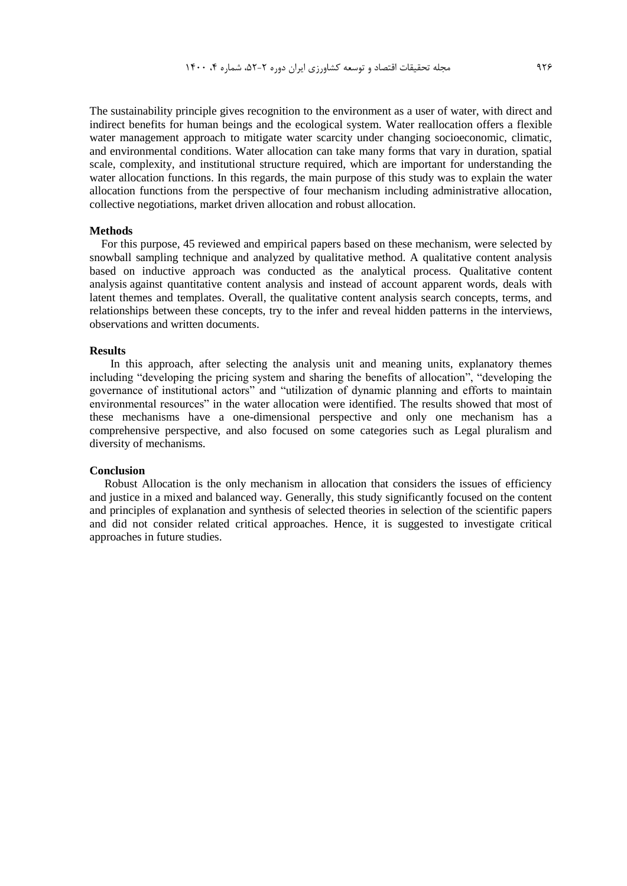The sustainability principle gives recognition to the environment as a user of water, with direct and indirect benefits for human beings and the ecological system. Water reallocation offers a flexible water management approach to mitigate water scarcity under changing socioeconomic, climatic, and environmental conditions. Water allocation can take many forms that vary in duration, spatial scale, complexity, and institutional structure required, which are important for understanding the water allocation functions. In this regards, the main purpose of this study was to explain the water allocation functions from the perspective of four mechanism including administrative allocation, collective negotiations, market driven allocation and robust allocation.

## **Methods**

 For this purpose, 45 reviewed and empirical papers based on these mechanism, were selected by snowball sampling technique and analyzed by qualitative method. A qualitative content analysis based on inductive approach was conducted as the analytical process. Qualitative content analysis against quantitative content analysis and instead of account apparent words, deals with latent themes and templates. Overall, the qualitative content analysis search concepts, terms, and relationships between these concepts, try to the infer and reveal hidden patterns in the interviews, observations and written documents.

#### **Results**

In this approach, after selecting the analysis unit and meaning units, explanatory themes including "developing the pricing system and sharing the benefits of allocation", "developing the governance of institutional actors" and "utilization of dynamic planning and efforts to maintain environmental resources" in the water allocation were identified. The results showed that most of these mechanisms have a one-dimensional perspective and only one mechanism has a comprehensive perspective, and also focused on some categories such as Legal pluralism and diversity of mechanisms.

#### **Conclusion**

Robust Allocation is the only mechanism in allocation that considers the issues of efficiency and justice in a mixed and balanced way. Generally, this study significantly focused on the content and principles of explanation and synthesis of selected theories in selection of the scientific papers and did not consider related critical approaches. Hence, it is suggested to investigate critical approaches in future studies.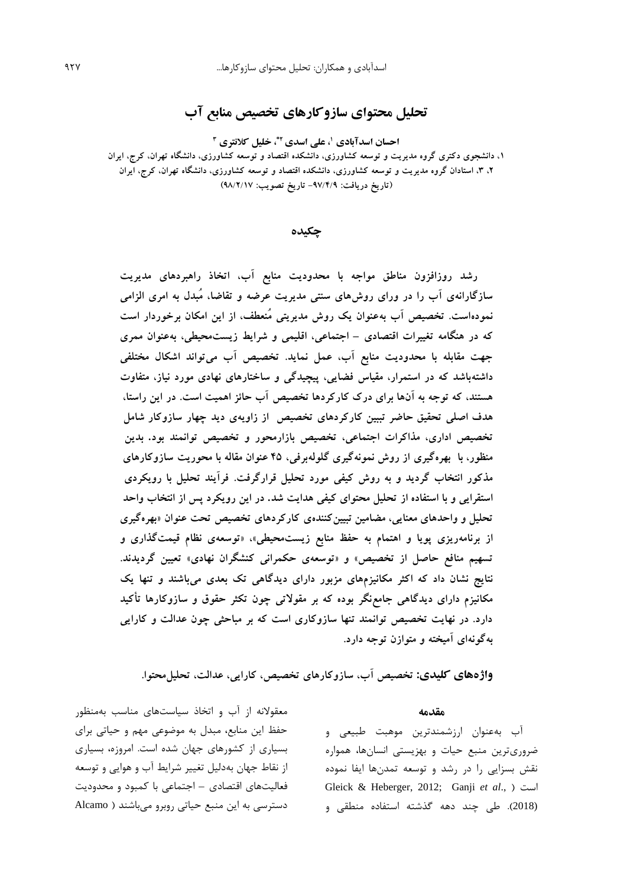**تحلیل محتوای سازوکارهای تخصیص منابع آب**

**،<sup>1</sup> علی اسدی <sup>2</sup>\* احسان اسدآبادی 3 ، خلیل کالنتری ،1 دانشجوی دکتری گروه مدیریت و توسعه کشاورزی، دانشکده اقتصاد و توسعه کشاورزی، دانشگاه تهران، کرج، ایران ،2 ،3 استادان گروه مدیریت و توسعه کشاورزی، دانشکده اقتصاد و توسعه کشاورزی، دانشگاه تهران، کرج، ایران )تاریخ دریافت: -97/4/9 تاریخ تصویب: 98/2/17(**

**چکیده**

**رشد روزافزون مناطق مواجه با محدودیت منابع آب، اتخاذ راهبردهای مدیریت سازگارانهی آب را در ورای روشهای سنتی مدیریت عرضه و تقاضا، مُبدل به امری الزامی نمودهاست. تخصیص آب بهعنوان یک روش مدیریتی مُنعطف، از این امکان برخوردار است که در هنگامه تغییرات اقتصادی – اجتماعی، اقلیمی و شرایط زیستمحیطی، بهعنوان ممری جهت مقابله با محدودیت منابع آب، عمل نماید. تخصیص آب میتواند اشکال مختلفی داشتهباشد که در استمرار، مقیاس فضایی، پیچیدگی و ساختارهای نهادی مورد نیاز، متفاوت هستند، که توجه به آنها برای درک کارکردها تخصیص آب حائز اهمیت است. در این راستا، هدف اصلی تحقیق حاضر تببین کارکردهای تخصیص از زاویهی دید چهار سازوکار شامل تخصیص اداری، مذاکرات اجتماعی، تخصیص بازارمحور و تخصیص توانمند بود. بدین منظور، با بهرهگیری از روش نمونهگیری گلولهبرفی، 45 عنوان مقاله با محوریت سازوکارهای مذکور انتخاب گردید و به روش کیفی مورد تحلیل قرارگرفت. فرآیند تحلیل با رویکردی استقرایی و با استفاده از تحلیل محتوای کیفی هدایت شد. در این رویکرد پس از انتخاب واحد تحلیل و واحدهای معنایی، مضامین تبیینکنندهی کارکردهای تخصیص تحت عنوان »بهرهگیری از برنامهریزی پویا و اهتمام به حفظ منابع زیستمحیطی«، »توسعهی نظام قیمتگذاری و تسهیم منافع حاصل از تخصیص« و »توسعهی حکمرانی کنشگران نهادی« تعیین گردیدند. نتایج نشان داد که اکثر مکانیزمهای مزبور دارای دیدگاهی تک بعدی میباشند و تنها یک مکانیزم دارای دیدگاهی جامعنگر بوده که بر مقوالتی چون تکثر حقوق و سازوکارها تأکید دارد. در نهایت تخصیص توانمند تنها سازوکاری است که بر مباحثی چون عدالت و کارایی بهگونهای آمیخته و متوازن توجه دارد.**

**واژههای کلیدی: تخصیص آب، سازوکارهای تخصیص، کارایی، عدالت، تحلیلمحتوا.**

معقوالنه از آب و اتخاذ سياستهای مناسب بهمنظور حفظ اين منابع، مبدل به موضوعی مهم و حياتی برای بسياری از کشورهای جهان شده است. امروزه، بسياری از نقاط جهان بهدليل تغيير شرايط آب و هوايی و توسعه فعاليتهای اقتصادی – اجتماعی با کمبود و محدوديت دسترسی به اين منبع حياتی روبرو میباشند ) Alcamo

#### **مقدمه**

آب بهعنوان ارزشمندترين موهبت طبيعی و ضروریترين منبع حيات و بهزيستی انسانها، همواره نقش بسزايی را در رشد و توسعه تمدنها ايفا نموده Gleick & Heberger, 2012; Ganji *et al*., ( است (2018(. طی چند دهه گذشته استفاده منطقی و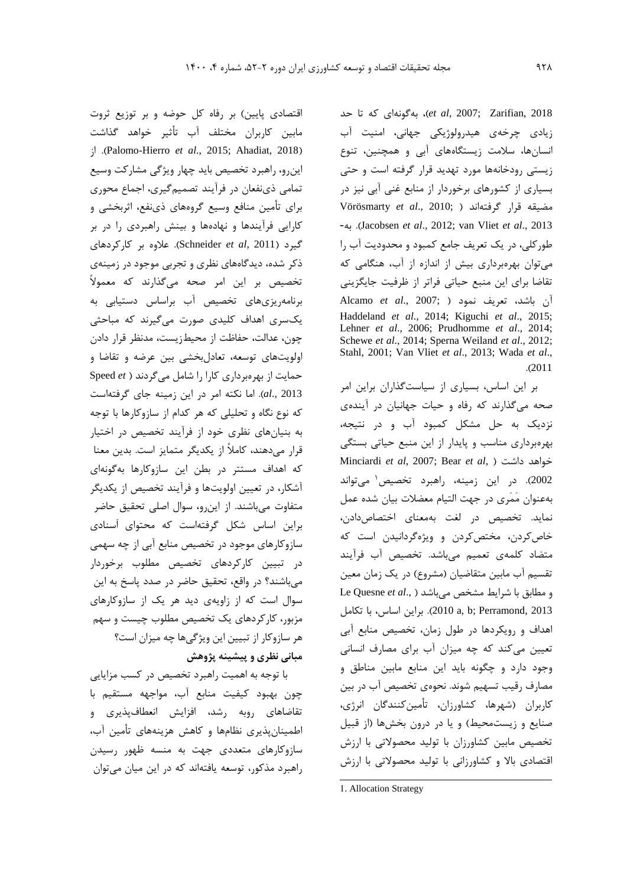2018 ,Zarifian; 2007 ,*al et*)، بهگونهای که تا حد زيادی چرخهی هيدرولوژيکی جهانی، امنيت آب انسانها، سالمت زيستگاههای آبی و همچنين، تنوع زيستی رودخانهها مورد تهديد قرار گرفته است و حتی بسياری از کشورهای برخوردار از منابع غنی آبی نيز در مضيقه قرار گرفتهاند ) ;2010 .,*al et* Vörösmarty -به .(Jacobsen *et al*., 2012; van Vliet *et al*., 2013 طورکلی، در يک تعريف جامع کمبود و محدوديت آب را میتوان بهرهبرداری بيش از اندازه از آب، هنگامی که تقاضا برای اين منبع حياتی فراتر از ظرفيت جايگزينی آن باشد، تعريف نمود ) ;2007 .,*al et* Alcamo Haddeland *et al*., 2014; Kiguchi *et al*., 2015; Lehner *et al*., 2006; Prudhomme *et al*., 2014; Schewe *et al*., 2014; Sperna Weiland *et al*., 2012; Stahl, 2001; Van Vliet *et al*., 2013; Wada *et al*., .)2011

بر اين اساس، بسياری از سياستگذاران براين امر صحه میگذارند که رفاه و حيات جهانيان در آيندهی نزديک به حل مشکل کمبود آب و در نتيجه، بهرهبرداری مناسب و پايدار از اين منبع حياتی بستگی Minciardi *et al*, 2007; Bear *et al*, ( داشت خواهد 2002). در اين زمينه، راهبرد تخصيص<sup>۱</sup> مىتواند بهعنوان مَمَری در جهت التيام معضالت بيان شده عمل نمايد. تخصيص در لغت بهمعنای اختصاصدادن، خاصکردن، مختصکردن و ويژهگردانيدن است که متضاد کلمهی تعميم میباشد. تخصيص آب فرآيند تقسيم آب مابين متقاضيان (مشروع) در يک زمان معين و مطابق با شرايط مشخص میباشد ) .,*al et* Quesne Le 2013 ,2013 ,2010). براين اساس، با تكامل اهداف و رويکردها در طول زمان، تخصيص منابع آبی تعيين میکند که چه ميزان آب برای مصارف انسانی وجود دارد و چگونه بايد اين منابع مابين مناطق و مصارف رقيب تسهيم شوند. نحوهی تخصيص آب در بين کاربران )شهرها، کشاورزان، تأمينکنندگان انرژی، صنايع و زيستمحيط) و يا در درون بخشها (از قبيل تخصيص مابين کشاورزان با توليد محصوالتی با ارزش اقتصادی باال و کشاورزانی با توليد محصوالتی با ارزش

اقتصادی پايين) بر رفاه کل حوضه و بر توزيع ثروت مابين کاربران مختلف آب تأثير خواهد گذاشت از .(Palomo-Hierro *et al*., 2015; Ahadiat, 2018( اينرو، راهبرد تخصيص بايد چهار ويژگی مشارکت وسيع تمامی ذینفعان در فرآيند تصميمگيری، اجماع محوری برای تأمين منافع وسيع گروههای ذینفع، اثربخشی و کارايی فرآيندها و نهادهها و بينش راهبردی را در بر گيرد )2011 ,*al et* Schneider). عالوه بر کارکردهای ذکر شده، ديدگاههای نظری و تجربی موجود در زمينهی تخصيص بر اين امر صحه میگذارند که معموالً برنامهريزیهای تخصيص آب براساس دستيابی به يکسری اهداف کليدی صورت میگيرند که مباحثی چون، عدالت، حفاظت از محيطزيست، مدنظر قرار دادن اولويتهای توسعه، تعادلبخشی بين عرضه و تقاضا و حمايت از بهرهبرداری کارا را شامل میگردند ) *et* Speed 2013 .,*al*). اما نکته امر در اين زمينه جای گرفتهاست که نوع نگاه و تحليلی که هر کدام از سازوکارها با توجه به بنيانهای نظری خود از فرآيند تخصيص در اختيار قرار میدهند، کامالً از يکديگر متمايز است. بدين معنا که اهداف مستتر در بطن اين سازوکارها بهگونهای آشکار، در تعيين اولويتها و فرآيند تخصيص از يکديگر متفاوت میباشند. از اينرو، سوال اصلی تحقيق حاضر براين اساس شکل گرفتهاست که محتوای اَسنادی سازوکارهای موجود در تخصيص منابع آبی از چه سهمی در تبيين کارکردهای تخصيص مطلوب برخوردار میباشند؟ در واقع، تحقيق حاضر در صدد پاسخ به اين سوال است که از زاويهی ديد هر يک از سازوکارهای مزبور، کارکردهای يک تخصيص مطلوب چيست و سهم هر سازوکار از تبيين اين ويژگیها چه ميزان است؟ **مبانی نظري و پيشينه پژوهش**

با توجه به اهميت راهبرد تخصيص در کسب مزايايی چون بهبود کيفيت منابع آب، مواجهه مستقيم با تقاضاهای روبه رشد، افزايش انعطافپذيری و اطمينانپذيری نظامها و کاهش هزينههای تأمين آب، سازوکارهای متعددی جهت به منسه ظهور رسيدن راهبرد مذکور، توسعه يافتهاند که در اين ميان میتوان

 $\overline{a}$ 1. Allocation Strategy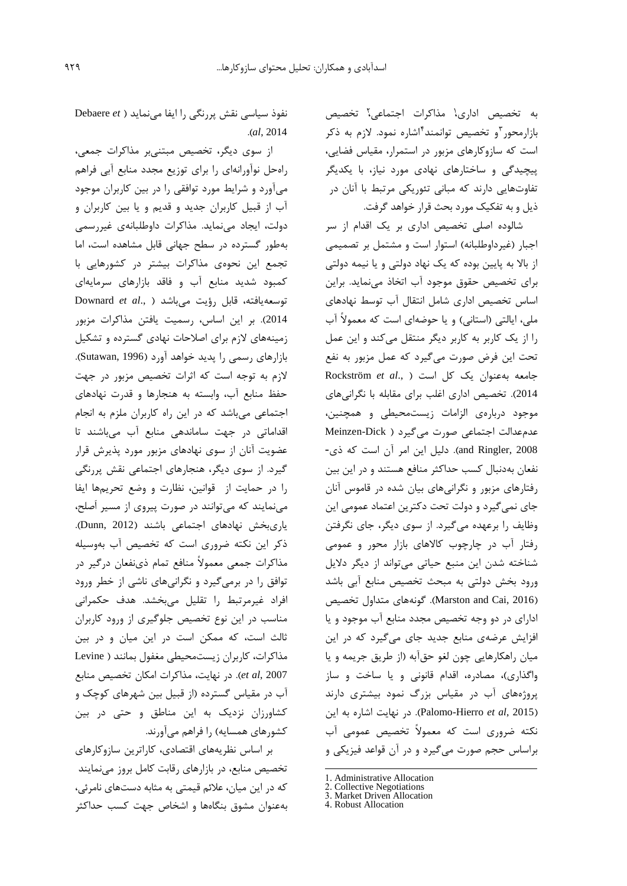به تخصیص اداری، مذاکرات اجتماعی، تخصیص بازارمحور ٦و تخصیص توانمند ٦شاره نمود. لازم به ذکر است که سازوکارهای مزبور در استمرار، مقياس فضايی، پيچيدگی و ساختارهای نهادی مورد نياز، با يکديگر تفاوتهايی دارند که مبانی تئوريکی مرتبط با آنان در ذيل و به تفکيک مورد بحث قرار خواهد گرفت.

شالوده اصلی تخصيص اداری بر يک اقدام از سر اجبار (غيرداوطلبانه) استوار است و مشتمل بر تصميمی از باال به پايين بوده که يک نهاد دولتی و يا نيمه دولتی برای تخصيص حقوق موجود آب اتخاذ مینمايد. براين اساس تخصيص اداری شامل انتقال آب توسط نهادهای ملی، ايالتی (استانی) و يا حوضهای است که معمولاً آب را از يک کاربر به کاربر ديگر منتقل میکند و اين عمل تحت اين فرض صورت میگيرد که عمل مزبور به نفع جامعه بهعنوان يک کل است ) .,*al et* Rockström 2014(. تخصيص اداری اغلب برای مقابله با نگرانیهای موجود دربارهی الزامات زيستمحيطی و همچنين، عدمعدالت اجتماعی صورت میگيرد ) Dick-Meinzen 2008 ,Ringler and). دليل اين امر آن است که ذی- نفعان بهدنبال کسب حداکثر منافع هستند و در اين بين رفتارهای مزبور و نگرانیهای بيان شده در قاموس آنان جای نمیگيرد و دولت تحت دکترين اعتماد عمومی اين وظايف را برعهده میگيرد. از سوی ديگر، جای نگرفتن رفتار آب در چارچوب کاالهای بازار محور و عمومی شناخته شدن اين منبع حياتی میتواند از ديگر داليل ورود بخش دولتی به مبحث تخصيص منابع آبی باشد )2016 ,Cai and Marston). گونههای متداول تخصيص ادارای در دو وجه تخصيص مجدد منابع آب موجود و يا افزايش عرضهی منابع جديد جای میگيرد که در اين ميان راهکارهايی چون لغو حقآبه )از طريق جريمه و يا واگذاری(، مصادره، اقدام قانونی و يا ساخت و ساز پروژههای آب در مقياس بزرگ نمود بيشتری دارند )2015 ,*al et* Hierro-Palomo). در نهايت اشاره به اين نکته ضروری است که معموالً تخصيص عمومی آب براساس حجم صورت میگيرد و در آن قواعد فيزيکی و

- 1. Administrative Allocation
- 2. Collective Negotiations
- 3. Market Driven Allocation
- 4. Robust Allocation

1

نفوذ سياسی نقش پررنگی را ايفا مینمايد ) *et* Debaere .)*al*, 2014

از سوی ديگر، تخصيص مبتنیبر مذاکرات جمعی، راهحل نوآورانهای را برای توزيع مجدد منابع آبی فراهم میآورد و شرايط مورد توافقی را در بين کاربران موجود آب از قبيل کاربران جديد و قديم و يا بين کاربران و دولت، ايجاد مینمايد. مذاکرات داوطلبانهی غيررسمی بهطور گسترده در سطح جهانی قابل مشاهده است، اما تجمع اين نحوهی مذاکرات بيشتر در کشورهايی با کمبود شديد منابع آب و فاقد بازارهای سرمايهای توسعهيافته، قابل رؤيت میباشد ) .,*al et* Downard 2014(. بر اين اساس، رسميت يافتن مذاکرات مزبور زمينههای الزم برای اصالحات نهادی گسترده و تشکيل بازارهای رسمی را پديد خواهد آورد (Sutawan, 1996). الزم به توجه است که اثرات تخصيص مزبور در جهت حفظ منابع آب، وابسته به هنجارها و قدرت نهادهای اجتماعی میباشد که در اين راه کاربران ملزم به انجام اقداماتی در جهت ساماندهی منابع آب میباشند تا عضويت آنان از سوی نهادهای مزبور مورد پذيرش قرار گيرد. از سوی ديگر، هنجارهای اجتماعی نقش پررنگی را در حمايت از قوانين، نظارت و وضع تحريمها ايفا مینمايند که میتوانند در صورت پيروی از مسير اَصلح، ياریبخش نهادهای اجتماعی باشند )2012 ,Dunn). ذکر اين نکته ضروری است که تخصيص آب بهوسيله مذاکرات جمعی معموالً منافع تمام ذینفعان درگير در توافق را در برمیگيرد و نگرانیهای ناشی از خطر ورود افراد غيرمرتبط را تقليل میبخشد. هدف حکمرانی مناسب در اين نوع تخصيص جلوگيری از ورود کاربران ثالث است، که ممکن است در اين ميان و در بين مذاکرات، کاربران زيستمحيطی مغفول بمانند ) Levine 2007 ,*al et*). در نهايت، مذاکرات امکان تخصيص منابع آب در مقياس گسترده )از قبيل بين شهرهای کوچک و کشاورزان نزديک به اين مناطق و حتی در بين کشورهای همسايه) را فراهم میآورند.

بر اساس نظريههای اقتصادی، کاراترين سازوکارهای تخصيص منابع، در بازارهای رقابت کامل بروز مینمايند که در اين ميان، عالئم قيمتی به مثابه دستهای نامرئی، بهعنوان مشوق بنگاهها و اشخاص جهت کسب حداکثر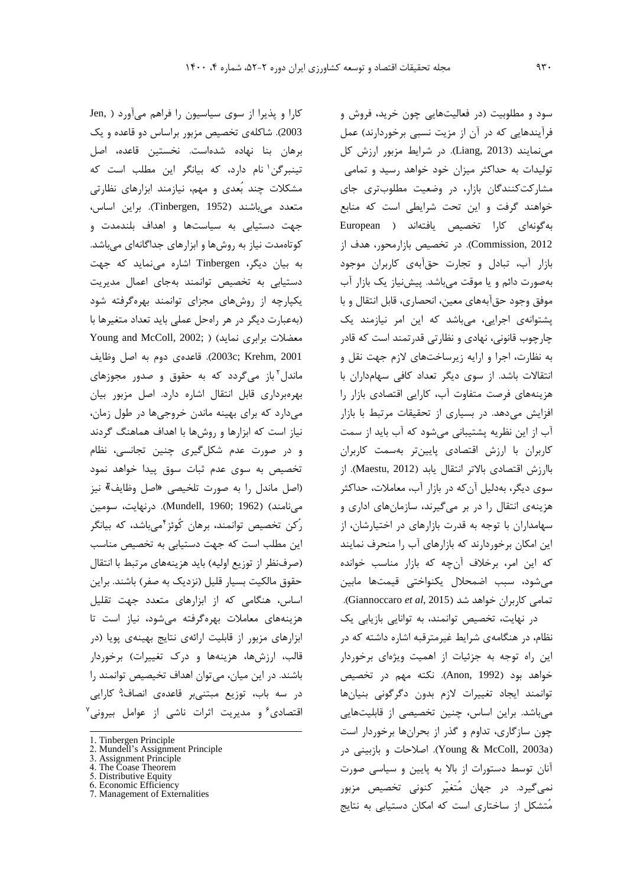کارا و پذيرا از سوی سياسيون را فراهم میآورد ) ,Jen 2003(. شاکلهی تخصيص مزبور براساس دو قاعده و يک برهان بنا نهاده شدهاست. نخستين قاعده، اصل <sup>1</sup> تينبرگن نام دارد، که بيانگر اين مطلب است که مشکالت چند بُعدی و مهم، نيازمند ابزارهای نظارتی متعدد میباشند )1952 ,Tinbergen). براين اساس، جهت دستيابی به سياستها و اهداف بلندمدت و کوتاهمدت نياز به روشها و ابزارهای جداگانهای میباشد. به بيان ديگر، Tinbergen اشاره مینمايد که جهت دستيابی به تخصيص توانمند بهجای اعمال مديريت يکپارچه از روشهای مجزای توانمند بهرهگرفته شود )بهعبارت ديگر در هر راهحل عملی بايد تعداد متغيرها با Young and McColl, 2002; ) (معضلات برابری نماید 2001 ,Krehm; c2003). قاعدهی دوم به اصل وظايف ماندل<sup>۲</sup> باز میگردد که به حقوق و صدور مجوزهای بهرهبرداری قابل انتقال اشاره دارد. اصل مزبور بيان میدارد که برای بهينه ماندن خروجیها در طول زمان، نياز است که ابزارها و روشها با اهداف هماهنگ گردند و در صورت عدم شکلگيری چنين تجانسی، نظام تخصيص به سوی عدم ثبات سوق پيدا خواهد نمود (اصل ماندل را به صورت تلخيصی «اصل وظايف<sup>»</sup> نيز مینامند( )1962 ;1960 ,Mundell). درنهايت، سومين رکن تخصیص توانمند، برهان کوئز<sup>۲</sup>میباشد، که بیانگر اين مطلب است که جهت دستيابی به تخصيص مناسب (صرفنظر از توزيع اوليه) بايد هزينههای مرتبط با انتقال حقوق مالکيت بسيار قليل )نزديک به صفر( باشند. براين اساس، هنگامی که از ابزارهای متعدد جهت تقليل هزينههای معامالت بهرهگرفته میشود، نياز است تا ابزارهای مزبور از قابليت ارائهی نتايج بهينهی پويا )در قالب، ارزشها، هزينهها و درک تغييرات) برخوردار باشند. در اين ميان، میتوان اهداف تخيصيص توانمند را در سه باب، توزیع مبتنی<u>ب</u>ر قاعدهی انصاف<sup>۹</sup> کارایی اقتصادی<sup>۶</sup> و مديريت اثرات ناشی از عوامل بيرونی<sup>۲</sup>

سود و مطلوبيت )در فعاليتهايی چون خريد، فروش و فرآيندهايی که در آن از مزيت نسبی برخوردارند) عمل مینمايند )2013 ,Liang). در شرايط مزبور ارزش کل توليدات به حداکثر ميزان خود خواهد رسيد و تمامی مشارکتکنندگان بازار، در وضعيت مطلوبتری جای خواهند گرفت و اين تحت شرايطی است که منابع بهگونهای کارا تخصيص يافتهاند ) European 2012 ,Commission). در تخصيص بازارمحور، هدف از بازار آب، تبادل و تجارت حقآبهی کاربران موجود بهصورت دائم و يا موقت میباشد. پيشنياز يک بازار آب موفق وجود حقآبههای معين، انحصاری، قابل انتقال و با پشتوانهی اجرايی، میباشد که اين امر نيازمند يک چارچوب قانونی، نهادی و نظارتی قدرتمند است که قادر به نظارت، اجرا و ارايه زيرساختهای الزم جهت نقل و انتقاالت باشد. از سوی ديگر تعداد کافی سهامداران با هزينههای فرصت متفاوت آب، کارايی اقتصادی بازار را افزايش میدهد. در بسياری از تحقيقات مرتبط با بازار آب از اين نظريه پشتيبانی میشود که آب بايد از سمت کاربران با ارزش اقتصادی پايينتر بهسمت کاربران باارزش اقتصادی باالتر انتقال يابد )2012 ,Maestu). از سوی ديگر، بهدليل آنکه در بازار آب، معامالت، حداکثر هزينهی انتقال را در بر میگيرند، سازمانهای اداری و سهامداران با توجه به قدرت بازارهای در اختيارشان، از اين امکان برخوردارند که بازارهای آب را منحرف نمايند که اين امر، برخالف آنچه که بازار مناسب خوانده میشود، سبب اضمحالل يکنواختی قيمتها مابين تمامی کاربران خواهد شد )2015 ,*al et* Giannoccaro).

در نهايت، تخصيص توانمند، به توانايی بازيابی يک نظام، در هنگامهی شرايط غيرمترقبه اشاره داشته که در اين راه توجه به جزئيات از اهميت ويژهای برخوردار خواهد بود )1992 ,Anon). نکته مهم در تخصيص توانمند ايجاد تغييرات الزم بدون دگرگونی بنيانها میباشد. براين اساس، چنين تخصيصی از قابليتهايی چون سازگاری، تداوم و گذر از بحرانها برخوردار است )a2003 ,McColl & Young). اصالحات و بازبينی در آنان توسط دستورات از باال به پايين و سياسی صورت نمیگيرد. در جهان مُتغيّر کنونی تخصيص مزبور مُتشکل از ساختاری است که امکان دستيابی به نتايج

 $\overline{a}$ 1. Tinbergen Principle

<sup>2.</sup> Mundell's Assignment Principle

<sup>3.</sup> Assignment Principle

<sup>4.</sup> The Coase Theorem 5. Distributive Equity

<sup>6.</sup> Economic Efficiency

<sup>7.</sup> Management of Externalities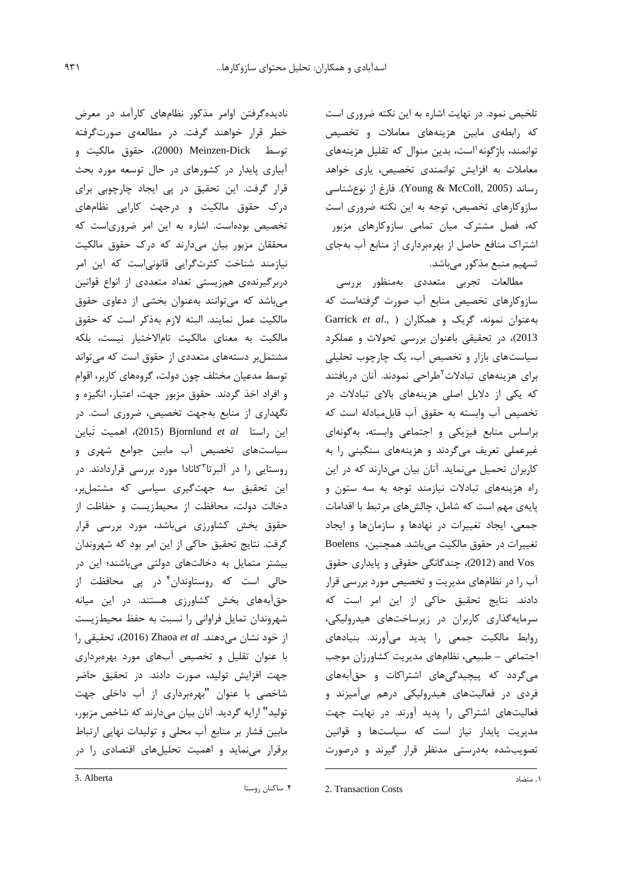تلخيص نمود. در نهايت اشاره به اين نکته ضروری است که رابطهی مابين هزينههای معامالت و تخصيص توانمند، باژگونه`است، بدین منوال که تقلیل هزینههای معامالت به افزايش توانمندی تخصيص، ياری خواهد رساند )2005 ,McColl & Young). فارغ از نوعشناسی سازوکارهای تخصيص، توجه به اين نکته ضروری است که، فصل مشترک ميان تمامی سازوکارهای مزبور اشتراک منافع حاصل از بهرهبرداری از منابع آب بهجای تسهيم منبع مذکور میباشد.

مطالعات تجربی متعددی بهمنظور بررسی سازوکارهای تخصيص منابع آب صورت گرفتهاست که بهعنوان نمونه، گريک و همکاران ) .,*al et* Garrick 2013(، در تحقيقی باعنوان بررسی تحوالت و عملکرد سياستهای بازار و تخصيص آب، يک چارچوب تحليلی برای هزینههای تبادلات<sup>۲</sup>طراحی نمودند. آنان دریافتند که يکی از داليل اصلی هزينههای باالی تبادالت در تخصيص آب وابسته به حقوق آب قابلمبادله است که براساس منابع فيزيکی و اجتماعی وابسته، بهگونهای غيرعملی تعريف میگردند و هزينههای سنگينی را به کاربران تحميل مینمايد. آنان بيان میدارند که در اين راه هزينههای تبادالت نيازمند توجه به سه ستون و پايهی مهم است که شامل، چالشهای مرتبط با اقدامات جمعی، ايجاد تغييرات در نهادها و سازمانها و ايجاد تغييرات در حقوق مالکيت میباشد. همچنين، Boelens Vos and( 2012)، چندگانگی حقوقی و پايداری حقوق آب را در نظامهای مديريت و تخصيص مورد بررسی قرار دادند. نتايج تحقيق حاکی از اين امر است که سرمايهگذاری کاربران در زيرساختهای هيدروليکی، روابط مالکيت جمعی را پديد میآورند. بنيادهای اجتماعی – طبيعی، نظامهای مديريت کشاورزان موجب میگردد که پيچيدگیهای اشتراکات و حقآبههای فردی در فعاليتهای هيدروليکی درهم بیآميزند و فعاليتهای اشتراکی را پديد آورند. در نهايت جهت مديريت پايدار نياز است که سياستها و قوانين تصويبشده بهدرستی مدنظر قرار گيرند و درصورت

ناديدهگرفتن اوامر مذکور نظامهای کارآمد در معرض خطر قرار خواهند گرفت. در مطالعهی صورتگرفته توسط Dick-Meinzen( 2000)، حقوق مالکيت و آبياری پايدار در کشورهای در حال توسعه مورد بحث قرار گرفت. اين تحقيق در پی ايجاد چارچوبی برای درک حقوق مالکيت و درجهت کارايی نظامهای تخصيص بودهاست. اشاره به اين امر ضروریاست که محققان مزبور بيان میدارند که درک حقوق مالکيت نيازمند شناخت کثرتگرايی قانونیاست که اين امر دربرگيرندهی همزيستی تعداد متعددی از انواع قوانين میباشد که میتوانند بهعنوان بخشی از دعاوی حقوق مالکيت عمل نمايند. البته الزم بهذکر است که حقوق مالکيت به معنای مالکيت تاماالختيار نيست، بلکه مشتملبر دستههای متعددی از حقوق است که میتواند توسط مدعيان مختلف چون دولت، گروههای کاربر، اقوام و افراد اخذ گردند. حقوق مزبور جهت، اعتبار، انگيزه و نگهداری از منابع بهجهت تخصيص، ضروری است. در اين راستا *al et* Bjornlund( 2015)، اهميت تَباين سياستهای تخصيص آب مابين جوامع شهری و <sup>3</sup> روستايی را در آلبرتا کانادا مورد بررسی قراردادند. در اين تحقيق سه جهتگيری سياسی که مشتملبر، دخالت دولت، محافظت از محيطزيست و حفاظت از حقوق بخش کشاورزی میباشد، مورد بررسی قرار گرفت. نتايج تحقيق حاکی از اين امر بود که شهروندان بيشتر متمايل به دخالتهای دولتی میباشند؛ اين در حالی است که روستاوندان<sup>۴</sup> در پی محافظت از حقآبههای بخش کشاورزی هستند. در اين ميانه شهروندان تمايل فراوانی را نسبت به حفظ محيطزيست از خود نشان میدهند. *al et* Zhaoa( 2016)، تحقيقی را با عنوان تقليل و تخصيص آبهای مورد بهرهبرداری جهت افزايش توليد، صورت دادند. در تحقيق حاضر شاخصی با عنوان "بهرهبرداری از آب داخلی جهت توليد" ارايه گرديد. آنان بيان میدارند که شاخص مزبور، مابين فشار بر منابع آب محلی و توليدات نهايی ارتباط برقرار مینمايد و اهميت تحليلهای اقتصادی را در  $\overline{a}$ 

.4 ساکنان روستا

2. Transaction Costs

1

<sup>3.</sup> Alberta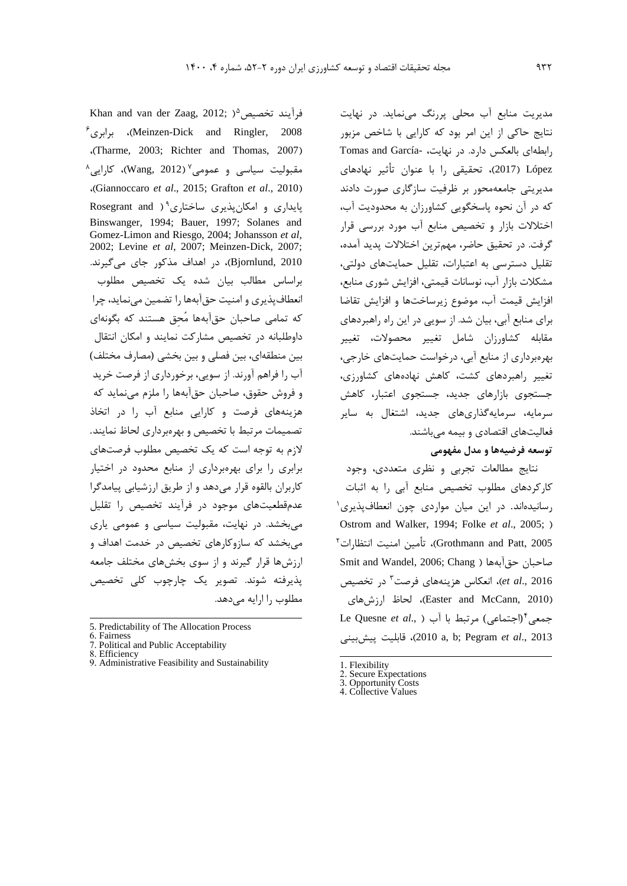Khan and van der Zaag, 2012;  $\delta$ فرآيند تخصيص  $^{\circ}$ برابری $^{\circ}$  (Meinzen-Dick and Ringler, 2008 (Tharme, 2003; Richter and Thomas, 2007) مقبولیت سیاسی و عمومی<sup>۷</sup>(Wang, 2012**)،** کارایی^ ،)Giannoccaro *et al*., 2015; Grafton *et al*., 2010( Rosegrant and ) پايداری و امکانپذيری ساختاری $^{\circ}$  ( Binswanger, 1994; Bauer, 1997; Solanes and Gomez-Limon and Riesgo, 2004; Johansson *et al*, 2002; Levine *et al*, 2007; Meinzen-Dick, 2007; 2010 ,Bjornlund)، در اهداف مذکور جای میگيرند. براساس مطالب بيان شده يک تخصيص مطلوب انعطافپذيری و امنيت حقآبهها را تضمين مینمايد، چرا که تمامی صاحبان حقآبهها مُحِق هستند که بگونهای داوطلبانه در تخصيص مشارکت نمايند و امکان انتقال بين منطقهای، بين فصلی و بين بخشی (مصارف مختلف) آب را فراهم آورند. از سويی، برخورداری از فرصت خريد و فروش حقوق، صاحبان حقآبهها را ملزم مینمايد که هزينههای فرصت و کارايی منابع آب را در اتخاذ تصميمات مرتبط با تخصيص و بهرهبرداری لحاظ نمايند. الزم به توجه است که يک تخصيص مطلوب فرصتهای برابری را برای بهرهبرداری از منابع محدود در اختيار کاربران بالقوه قرار میدهد و از طريق ارزشيابی پيامدگرا عدمقطعيتهای موجود در فرآيند تخصيص را تقليل میبخشد. در نهايت، مقبوليت سياسی و عمومی ياری میبخشد که سازوکارهای تخصيص در خدمت اهداف و ارزشها قرار گيرند و از سوی بخشهای مختلف جامعه پذيرفته شوند. تصوير يک چارچوب کلی تخصيص

مطلوب را ارايه میدهد.

مديريت منابع آب محلی پررنگ مینمايد. در نهايت نتايج حاکی از اين امر بود که کارايی با شاخص مزبور رابطهای بالعکس دارد. در نهايت، -García and Tomas López( 2017)، تحقيقی را با عنوان تأثير نهادهای مديريتی جامعهمحور بر ظرفيت سازگاری صورت دادند که در آن نحوه پاسخگويی کشاورزان به محدوديت آب، اختالالت بازار و تخصيص منابع آب مورد بررسی قرار گرفت. در تحقيق حاضر، مهمترين اختالالت پديد آمده، تقليل دسترسی به اعتبارات، تقليل حمايتهای دولتی، مشکالت بازار آب، نوسانات قيمتی، افزايش شوری منابع، افزايش قيمت آب، موضوع زيرساختها و افزايش تقاضا برای منابع آبی، بيان شد. از سويی در اين راه راهبردهای مقابله کشاورزان شامل تغيير محصوالت، تغيير بهرهبرداری از منابع آبی، درخواست حمايتهای خارجی، تغيير راهبردهای کشت، کاهش نهادههای کشاورزی، جستجوی بازارهای جديد، جستجوی اعتبار، کاهش سرمايه، سرمايهگذاریهای جديد، اشتغال به ساير فعاليتهای اقتصادی و بيمه میباشند.

# **توسعه فرضيهها و مدل مفهومی**

نتايج مطالعات تجربی و نظری متعددی، وجود کارکردهای مطلوب تخصيص منابع آبی را به اثبات <sup>1</sup> رسانيدهاند. در اين ميان مواردی چون انعطافپذيری Ostrom and Walker, 1994; Folke et al., 2005; )  $^7$  تأمين امنيت انتظارات $\,$  (Grothmann and Patt, 2005 Smit and Wandel, 2006; Chang ( حقآبهها صاحبان <sup>3</sup> 2016 .,*al et*)، انعکاس هزينههای فرصت در تخصيص ارزشهای لحاظ ،(Easter and McCann, 2010( (اجتماعی) مرتبط با آب ) .,*al et* Quesne Le <sup>4</sup> جمعی پيشبينی قابليت ،(2010 a, b; Pegram *et al*., 2013

 $\overline{a}$ 

 $\overline{a}$ 5. Predictability of The Allocation Process

<sup>6.</sup> Fairness 7. Political and Public Acceptability

<sup>8.</sup> Efficiency

<sup>9.</sup> Administrative Feasibility and Sustainability

<sup>1.</sup> Flexibility

<sup>2.</sup> Secure Expectations

<sup>3.</sup> Opportunity Costs

<sup>4.</sup> Collective Values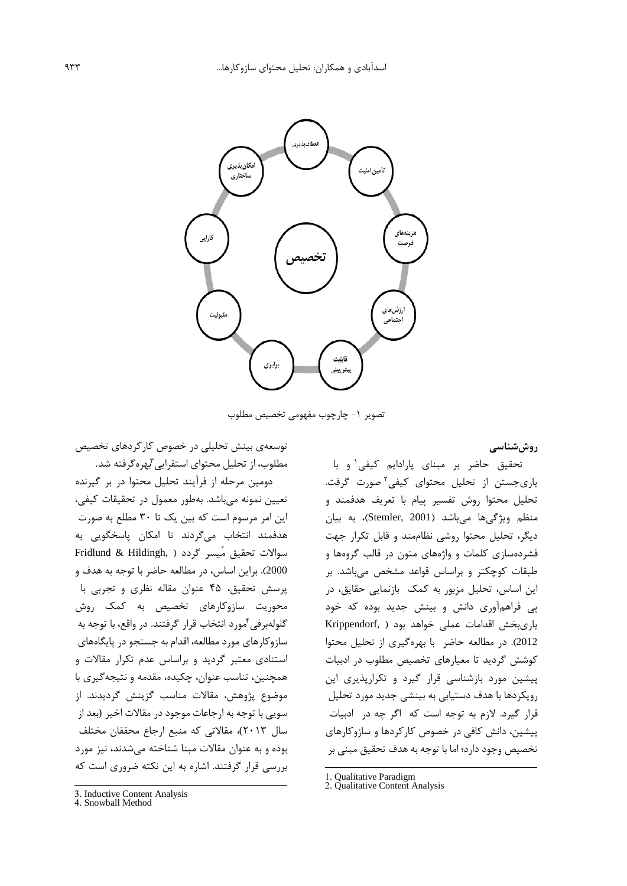

تصوير -1 چارچوب مفهومی تخصيص مطلوب

**روششناسی**

توسعهی بينش تحليلی در خصوص کارکردهای تخصيص مطلوب، از تحليل محتوای استقرايی <sup>ب</sup>بهره گرفته شد. دومين مرحله از فرآيند تحليل محتوا در بر گيرنده تعيين نمونه میباشد. بهطور معمول در تحقيقات کيفی، اين امر مرسوم است که بين يک تا 30 مطلع به صورت هدفمند انتخاب میگردند تا امکان پاسخگويی به سوالات تحقيق مُيسر گردد ( ,Fridlund & Hildingh 2000(. براين اساس، در مطالعه حاضر با توجه به هدف و پرسش تحقيق، 45 عنوان مقاله نظری و تجربی با محوريت سازوکارهای تخصيص به کمک روش گلولهبرفی ٔمورد انتخاب قرار گرفتند. در واقع، با توجه به سازوکارهای مورد مطالعه، اقدام به جستجو در پايگاههای استنادی معتبر گرديد و براساس عدم تکرار مقاالت و همچنين، تناسب عنوان، چکيده، مقدمه و نتيجهگيری با موضوع پژوهش، مقاالت مناسب گزينش گرديدند. از سويی با توجه به ارجاعات موجود در مقاالت اخير (بعد از سال 2013)، مقاالتی که منبع ارجاع محققان مختلف بوده و به عنوان مقاالت مبنا شناخته میشدند، نيز مورد بررسی قرار گرفتند. اشاره به اين نکته ضروری است که

<sup>1</sup> تحقيق حاضر بر مبنای پارادايم کيفی و با یاریجستن از تحلیل محتوای کیفی<sup>۲</sup>صورت گرفت. تحليل محتوا روش تفسير پيام با تعريف هدفمند و منظم ويژگی ها می باشد (Stemler, 2001)، به بيان ديگر، تحليل محتوا روشی نظاممند و قابل تکرار جهت فشردهسازی کلمات و واژههای متون در قالب گروهها و طبقات کوچکتر و براساس قواعد مشخص میباشد. بر اين اساس، تحليل مزبور به کمک بازنمايی حقايق، در پی فراهمآوری دانش و بينش جديد بوده که خود ياریبخش اقدامات عملی خواهد بود ( ,Krippendorf 2012(. در مطالعه حاضر با بهرهگيری از تحليل محتوا کوشش گرديد تا معيارهای تخصيص مطلوب در ادبيات پيشين مورد بازشناسی قرار گيرد و تکرارپذيری اين رويکردها با هدف دستيابی به بينشی جديد مورد تحليل قرار گيرد. الزم به توجه است که اگر چه در ادبيات پيشين، دانش کافی در خصوص کارکردها و سازوکارهای تخصيص وجود دارد؛ اما با توجه به هدف تحقيق مبنی بر

3. Inductive Content Analysis

4. Snowball Method

 $\overline{\phantom{a}}$ 

1. Qualitative Paradigm

1

2. Qualitative Content Analysis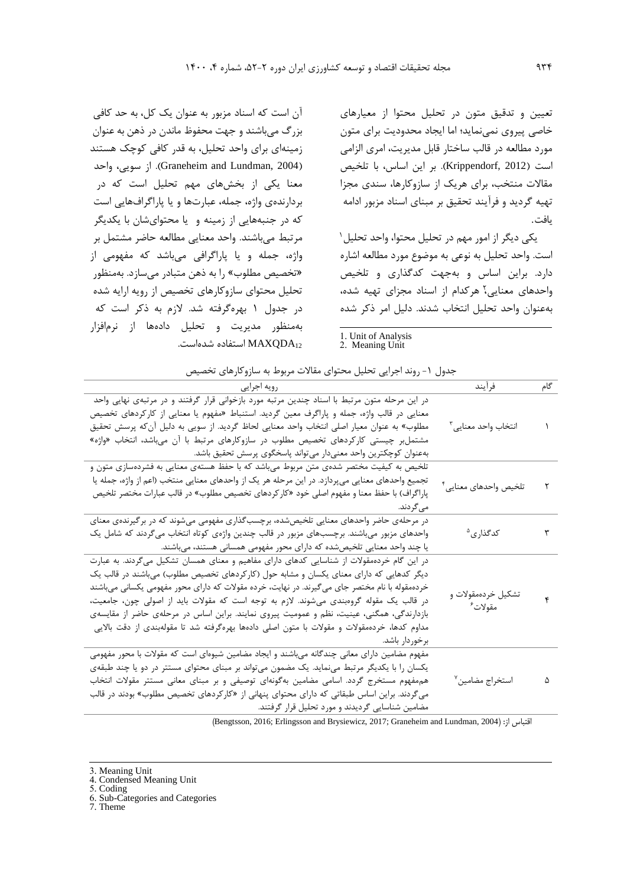تعيين و تدقيق متون در تحليل محتوا از معيارهای خاصی پيروی نمینمايد؛ اما ايجاد محدوديت برای متون مورد مطالعه در قالب ساختار قابل مديريت، امری الزامی است )2012 ,Krippendorf). بر اين اساس، با تلخيص مقاالت منتخب، برای هريک از سازوکارها، سندی مجزا تهيه گرديد و فرآيند تحقيق بر مبنای اسناد مزبور ادامه يافت.

<sup>1</sup> يکی ديگر از امور مهم در تحليل محتوا، واحد تحليل است. واحد تحليل به نوعی به موضوع مورد مطالعه اشاره دارد. براين اساس و بهجهت کدگذاری و تلخيص واحدهای معنایی،ٔ هرکدام از اسناد مجزای تهیه شده، بهعنوان واحد تحليل انتخاب شدند. دليل امر ذکر شده

1. Unit of Analysis

2. Meaning Unit

آن است که اسناد مزبور به عنوان يک کل، به حد کافی بزرگ میباشند و جهت محفوظ ماندن در ذهن به عنوان زمينهای برای واحد تحليل، به قدر کافی کوچک هستند )2004 ,Lundman and Graneheim). از سويی، واحد معنا يکی از بخشهای مهم تحليل است که در بردارندهی واژه، جمله، عبارتها و يا پاراگرافهايی است که در جنبههايی از زمينه و يا محتوایشان با يکديگر مرتبط میباشند. واحد معنايی مطالعه حاضر مشتمل بر واژه، جمله و يا پاراگرافی میباشد که مفهومی از »تخصيص مطلوب« را به ذهن متبادر میسازد. بهمنظور تحليل محتوای سازوکارهای تخصيص از رويه ارايه شده در جدول 1 بهرهگرفته شد. الزم به ذکر است که بهمنظور مديريت و تحليل دادهها از نرمافزار استفاده شدهاست. MAXQDA $_{12}$ 

|  |  | جدول ۱- روند اجرایی تحلیل محتوای مقالات مربوط به سازوکارهای تخصیص |
|--|--|-------------------------------------------------------------------|
|--|--|-------------------------------------------------------------------|

 $\overline{a}$ 

| رویه اجرایی                                                                                     | فرآيند                          | گام |
|-------------------------------------------------------------------------------------------------|---------------------------------|-----|
| در این مرحله متون مرتبط با اسناد چندین مرتبه مورد بازخوانی قرار گرفتند و در مرتبهی نهایی واحد   |                                 |     |
| معنایی در قالب واژه، جمله و پاراگرف معین گردید. استنباط «مفهوم یا معنایی از کارکردهای تخصیص     |                                 |     |
| مطلوب» به عنوان معیار اصلی انتخاب واحد معنایی لحاظ گردید. از سویی به دلیل آنکه پرسش تحقیق       | انتخاب واحد معنايي <sup>٦</sup> |     |
| مشتملبر چیستی کارکردهای تخصیص مطلوب در سازوکارهای مرتبط با آن میباشد، انتخاب «واژه»             |                                 |     |
| بەعنوان كوچكترين واحد معنىدار مىتواند پاسخگوى پرسش تحقيق باشد.                                  |                                 |     |
| تلخیص به کیفیت مختصر شدهی متن مربوط می,باشد که با حفظ هستهی معنایی به فشردهسازی متون و          |                                 |     |
| تجمیع واحدهای معنایی میپردازد. در این مرحله هر یک از واحدهای معنایی منتخب (اعم از واژه، جمله یا | تلخيص واحدهاى معنايي            |     |
| پاراگراف) با حفظ معنا و مفهوم اصلی خود «کار کردهای تخصیص مطلوب» در قالب عبارات مختصر تلخیص      |                                 |     |
| مے گر دند.                                                                                      |                                 |     |
| در مرحلهی حاضر واحدهای معنایی تلخیصشده، برچسبگذاری مفهومی میشوند که در برگیرندهی معنای          |                                 |     |
| واحدهای مزبور میباشند. برچسبهای مزبور در قالب چندین واژهی کوتاه انتخاب میگردند که شامل یک       | کدگذاری <sup>۵</sup>            | ٣   |
| یا چند واحد معنایی تلخیصشده که دارای محور مفهومی همسانی هستند، میباشند.                         |                                 |     |
| در این گام خردهمقولات از شناسایی کدهای دارای مفاهیم و معنای همسان تشکیل میگردند. به عبارت       |                                 |     |
| دیگر کدهایی که دارای معنای یکسان و مشابه حول (کارکردهای تخصیص مطلوب) میباشند در قالب یک         |                                 |     |
| خردهمقوله با نام مختصر جای می گیرند. در نهایت، خرده مقولات که دارای محور مفهومی یکسانی میباشند  | تشكيل خردەمقولات و              |     |
| در قالب یک مقوله گروهبندی میشوند. لازم به توجه است که مقولات باید از اصولی چون، جامعیت،         | مقولات <sup>ء</sup>             |     |
| بازدارندگی، همگنی، عینیت، نظم و عمومیت پیروی نمایند. براین اساس در مرحلهی حاضر از مقایسهی       |                                 |     |
| مداوم کدها، خردهمقولات و مقولات با متون اصلی دادهها بهرهگرفته شد تا مقولهبندی از دقت بالایی     |                                 |     |
| برخوردار باشد.                                                                                  |                                 |     |
| مفهوم مضامین دارای معانی چندگانه میباشند و ایجاد مضامین شیوهای است که مقولات با محور مفهومی     |                                 |     |
| یکسان را با یکدیگر مرتبط مینماید. یک مضمون میتواند بر مبنای محتوای مستتر در دو یا چند طبقهی     |                                 |     |
| هممفهوم مستخرج گردد. اسامی مضامین بهگونهای توصیفی و بر مبنای معانی مستتر مقولات انتخاب          | استخراج مضامين <sup>٧</sup>     | ۵   |
| میگردند. براین اساس طبقاتی که دارای محتوای پنهانی از «کارکردهای تخصیص مطلوب» بودند در قالب      |                                 |     |
| مضامین شناسایی گردیدند و مورد تحلیل قرار گرفتند.                                                |                                 |     |

)Bengtsson, 2016; Erlingsson and Brysiewicz, 2017; Graneheim and Lundman, 2004( :از اقتباس

7. Theme

l 3. Meaning Unit

<sup>4.</sup> Condensed Meaning Unit

<sup>5.</sup> Coding

<sup>6.</sup> Sub-Categories and Categories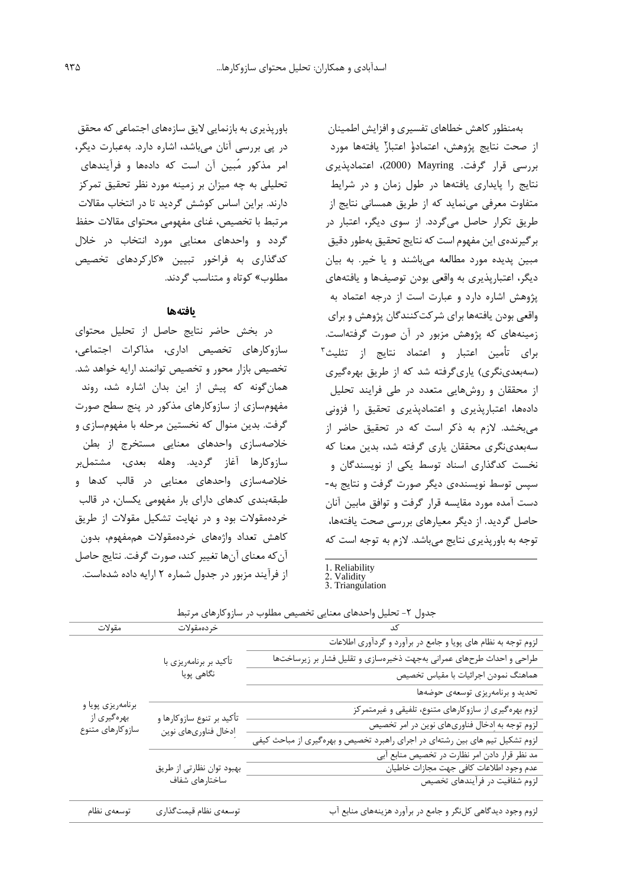باورپذيری به بازنمايی اليق سازههای اجتماعی که محقق در پی بررسی آنان میباشد، اشاره دارد. بهعبارت ديگر، امر مذکور مُبين آن است که دادهها و فرآيندهای تحليلی به چه ميزان بر زمينه مورد نظر تحقيق تمرکز دارند. براين اساس کوشش گرديد تا در انتخاب مقاالت مرتبط با تخصيص، غنای مفهومی محتوای مقاالت حفظ گردد و واحدهای معنايی مورد انتخاب در خالل کدگذاری به فراخور تبيين »کارکردهای تخصيص مطلوب« کوتاه و متناسب گردند.

#### **یافتهها**

در بخش حاضر نتايج حاصل از تحليل محتوای سازوکارهای تخصيص اداری، مذاکرات اجتماعی، تخصيص بازار محور و تخصيص توانمند ارايه خواهد شد. همانگونه که پيش از اين بدان اشاره شد، روند مفهومسازی از سازوکارهای مذکور در پنج سطح صورت گرفت. بدين منوال که نخستين مرحله با مفهومسازی و خالصهسازی واحدهای معنايی مستخرج از بطن سازوکارها آغاز گرديد. وهله بعدی، مشتملبر خالصهسازی واحدهای معنايی در قالب کدها و طبقهبندی کدهای دارای بار مفهومی يکسان، در قالب خردهمقوالت بود و در نهايت تشکيل مقوالت از طريق کاهش تعداد واژههای خردهمقوالت هممفهوم، بدون آنکه معنای آنها تغيير کند، صورت گرفت. نتايج حاصل از فرآيند مزبور در جدول شماره 2 ارايه داده شدهاست.

بهمنظور کاهش خطاهای تفسيری و افزايش اطمينان از صحت نتايج پژوهش، اعتمادو اعتبار يافتهها مورد بررسی قرار گرفت. Mayring( 2000)، اعتمادپذيری نتايج را پايداری يافتهها در طول زمان و در شرايط متفاوت معرفی مینمايد که از طريق همسانی نتايج از طريق تکرار حاصل میگردد. از سوی ديگر، اعتبار در برگيرندهی اين مفهوم است که نتايج تحقيق بهطور دقيق مبين پديده مورد مطالعه میباشند و يا خير. به بيان ديگر، اعتبارپذيری به واقعی بودن توصيفها و يافتههای پژوهش اشاره دارد و عبارت است از درجه اعتماد به واقعی بودن يافتهها برای شرکتکنندگان پژوهش و برای زمينههای که پژوهش مزبور در آن صورت گرفتهاست. <sup>3</sup> برای تأمين اعتبار و اعتماد نتايج از تثليث )سهبعدینگری( ياریگرفته شد که از طريق بهرهگيری از محققان و روشهايی متعدد در طی فرايند تحليل دادهها، اعتبارپذيری و اعتمادپذيری تحقيق را فزونی میبخشد. الزم به ذکر است که در تحقيق حاضر از سهبعدینگری محققان ياری گرفته شد، بدين معنا که نخست کدگذاری اسناد توسط يکی از نويسندگان و سپس توسط نويسندهی ديگر صورت گرفت و نتايج به- دست آمده مورد مقايسه قرار گرفت و توافق مابين آنان حاصل گرديد. از ديگر معيارهای بررسی صحت يافتهها، توجه به باورپذيری نتايج میباشد. الزم به توجه است که

-1. Reliability

2. Validity 3. Triangulation

| مقولات                                               | خردەمقولات                                        |                                                                              |  |  |
|------------------------------------------------------|---------------------------------------------------|------------------------------------------------------------------------------|--|--|
|                                                      |                                                   | لزوم توجه به نظام های پویا و جامع در برآورد و گردآوری اطلاعات                |  |  |
| برنامەريزى پويا و<br>بهرهگیری از<br>سازوكارهاي متنوع | تأكيد بر برنامهريزي با<br>نگاهی پویا              | طراحی و احداث طرحهای عمرانی بهجهت ذخیرهسازی و تقلیل فشار بر زیرساختها        |  |  |
|                                                      |                                                   | هماهنگ نمودن اجرائيات با مقياس تخصيص                                         |  |  |
|                                                      |                                                   | تحدید و برنامهریزی توسعهی حوضهها                                             |  |  |
|                                                      | تأكيد بر تنوع سازوكارها و<br>إدخال فناوريهاي نوين | لزوم بهرهگیری از سازوکارهای متنوع، تلفیقی و غیرمتمرکز                        |  |  |
|                                                      |                                                   | لزوم توجه به ادخال فناوریهای نوین در امر تخصیص                               |  |  |
|                                                      |                                                   | لزوم تشکیل تیم های بین رشتهای در اجرای راهبرد تخصیص و بهرهگیری از مباحث کیفی |  |  |
|                                                      | بهبود توان نظارتی از طریق<br>ساختارهای شفاف       | مد نظر قرار دادن امر نظارت در تخصیص منابع آبی                                |  |  |
|                                                      |                                                   | عدم وجود اطلاعات كافي جهت مجازات خاطيان                                      |  |  |
|                                                      |                                                   | لزوم شفافیت در فرآیندهای تخصیص                                               |  |  |
|                                                      |                                                   |                                                                              |  |  |
| توسعهى نظام                                          | توسعهي نظام قيمت گذاري                            | لزوم وجود دیدگاهی کلنگر و جامع در برآورد هزینههای منابع آب                   |  |  |

جدول ۲- تحليل واحدهای معنايی تخصيص مطلوب در سازوکارهای مرتبط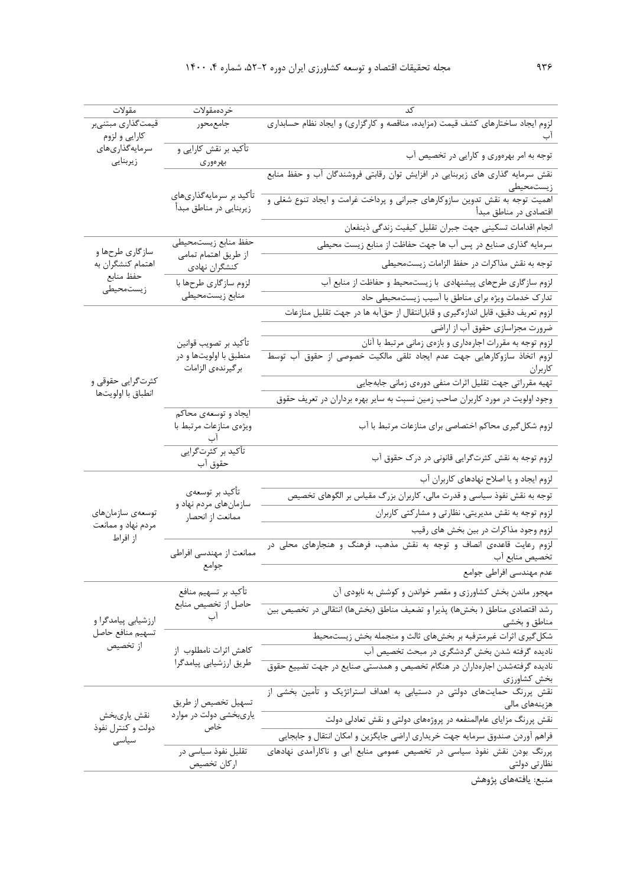| مقولات                                | خردەمقولات                                           |                                                                                                                    |
|---------------------------------------|------------------------------------------------------|--------------------------------------------------------------------------------------------------------------------|
| قیمتگذاری مبتنیبر<br>كارايي و لزوم    | جامعمحور                                             | لزوم ایجاد ساختارهای کشف قیمت (مزایده، مناقصه و کارگزاری) و ایجاد نظام حسابداری                                    |
| سرمايه گذارىهاى<br>زیربنایی           | تأكيد بر نقش كارايي و<br>بهرەورى                     | توجه به امر بهرهوری و کارایی در تخصیص آب                                                                           |
|                                       |                                                      | نقش سرمایه گذاری های زیربنایی در افزایش توان رقابتی فروشندگان آب و حفظ منابع                                       |
|                                       | تأکید بر سرمایهگذاریهای<br>زیربنایی در مناطق مبدأ    | زيستمحيطى<br>اهمیت توجه به نقش تدوین سازوکارهای جبرانی و پرداخت غرامت و ایجاد تنوع شغلی و<br>اقتصادی در مناطق مبدأ |
|                                       |                                                      | انجام اقدامات تسكيني جهت جبران تقليل كيفيت زندگي ذينفعان                                                           |
|                                       | حفظ منابع زيستمحيطي                                  | سرمایه گذاری صنایع در پس آب ها جهت حفاظت از منابع زیست محیطی                                                       |
| ساز گاری طرحها و<br>اهتمام کنشگران به | از طريق اهتمام تمامي<br>كنشگران نهادى                | توجه به نقش مذاكرات در حفظ الزامات زيستمحيطى                                                                       |
| حفظ منابع<br>زيستمحيطى                | لزوم سازگاری طرحها با                                | لزوم سازگاری طرحهای پیشنهادی با زیستمحیط و حفاظت از منابع آب                                                       |
|                                       | منابع زيستمحيطي                                      | تدارک خدمات ویژه برای مناطق با آسیب زیستمحیطی حاد                                                                  |
|                                       |                                                      | لزوم تعریف دقیق، قابل اندازهگیری و قابل نتقال از حقآبه ها در جهت تقلیل منازعات                                     |
|                                       |                                                      | ضرورت مجزاسازی حقوق آب از اراضی                                                                                    |
|                                       | تأكيد بر تصويب قوانين                                | لزوم توجه به مقررات اجارهداري و بازهي زماني مرتبط با آنان                                                          |
|                                       | منطبق با اولويتها و در<br>برگيرندەي الزامات          | لزوم اتخاذ سازوکارهایی جهت عدم ایجاد تلقی مالکیت خصوصی از حقوق آب توسط<br>كاربران                                  |
| کثرت گرایی حقوقی و                    |                                                      | تهیه مقرراتی جهت تقلیل اثرات منفی دورهی زمانی جابهجایی                                                             |
| انطباق با اولويتها                    |                                                      | وجود اولویت در مورد کاربران صاحب زمین نسبت به سایر بهره برداران در تعریف حقوق                                      |
|                                       | ايجاد و توسعهى محاكم<br>ویژەی منازعات مرتبط با       | لزوم شکل گیری محاکم اختصاصی برای منازعات مرتبط با آب                                                               |
|                                       | تأكيد بر كثرتگرايي<br>حقوق آب                        | لزوم توجه به نقش کثرتگرایی قانونی در درک حقوق آب                                                                   |
|                                       |                                                      | لزوم ایجاد و یا اصلاح نهادهای کاربران آب                                                                           |
|                                       | تأكيد بر توسعهي                                      | توجه به نقش نفوذ سیاسی و قدرت مالی، کاربران بزرگ مقیاس بر الگوهای تخصیص                                            |
| توسعەي سازمانھاي                      | سازمانهای مردم نهاد و<br>ممانعت از انحصار            | لزوم توجه به نقش مدیریتی، نظارتی و مشارکتی کاربران                                                                 |
| مردم نهاد و ممانعت                    |                                                      | لزوم وجود مذاکرات در بین بخش های رقیب                                                                              |
| از افراط                              |                                                      | لزوم رعایت قاعدهی انصاف و توجه به نقش مذهب، فرهنگ و هنجارهای محلی در                                               |
|                                       | ممانعت از مهندسی افراطی<br>جوامع                     | تخصيص منابع آب                                                                                                     |
|                                       |                                                      | عدم مهندسی افراطی جوامع                                                                                            |
|                                       | تأكيد بر تسهيم منافع                                 | مهجور ماندن بخش کشاورزی و مقصر خواندن و کوشش به نابودی آن                                                          |
| ارزشیابی پیامدگرا و                   | حاصل از تخصیص منابع<br>اب                            | رشد اقتصادی مناطق ( بخشها) پذیرا و تضعیف مناطق (بخشها) انتقالی در تخصیص بین<br>مناطق و بخشى                        |
| تسهيم منافع حاصل                      |                                                      | شکل گیری اثرات غیرمترفبه بر بخشهای ثالث و منجمله بخش زیستمحیط                                                      |
| از تخصیص                              | كاهش اثرات نامطلوب از                                | نادیده گرفته شدن بخش گردشگری در مبحث تخصیص آب                                                                      |
|                                       | طريق ارزشيابي پيامدگرا                               | نادیده گرفتهشدن اجارهداران در هنگام تخصیص و همدستی صنایع در جهت تضییع حقوق<br>بخش كشاورزي                          |
|                                       | تسهيل تخصيص از طريق<br>یاریبخشی دولت در موارد<br>خاص | نقش پررنگ حمایتهای دولتی در دستیابی به اهداف استراتژیک و تأمین بخشی از<br>هزینههای مالی                            |
| نقش يارىبخش                           |                                                      | نقش پررنگ مزایای عامالمنفعه در پروژههای دولتی و نقش تعادلی دولت                                                    |
| دولت و کنترل نفوذ<br>سیاسی            |                                                      | فراهم آوردن صندوق سرمايه جهت خريداري اراضي جايگزين و امكان انتقال و جابجايي                                        |
|                                       | تقلیل نفوذ سیاسی در<br>اركان تخصيص                   | پررنگ بودن نقش نفوذ سیاسی در تخصیص عمومی منابع آبی و ناکارآمدی نهادهای<br>نظارتی دولتی                             |
|                                       |                                                      |                                                                                                                    |

منبع: يافتههای پژوهش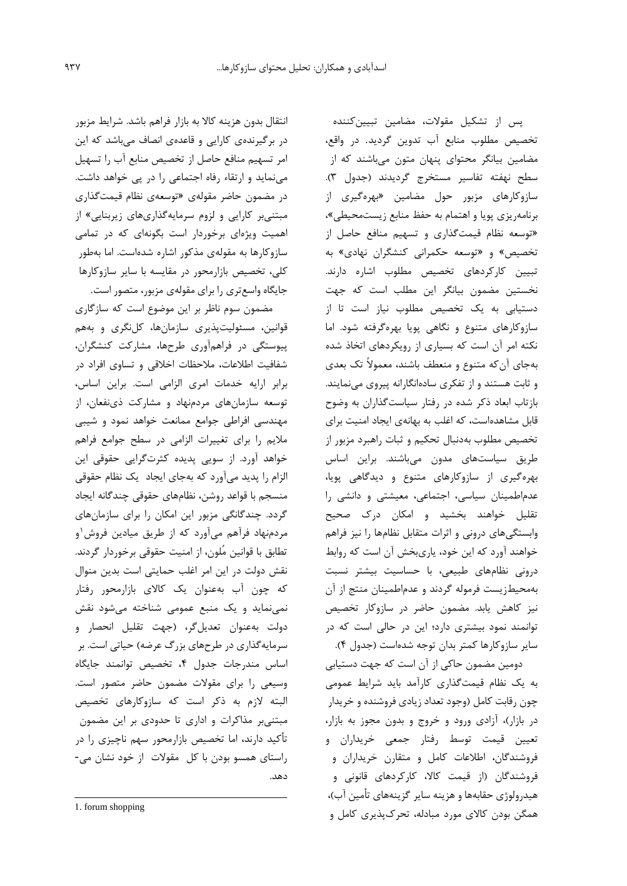پس از تشکيل مقوالت، مضامين تبيينکننده تخصيص مطلوب منابع آب تدوين گرديد. در واقع، مضامين بيانگر محتوای پنهان متون میباشند که از سطح نهفته تفاسير مستخرج گرديدند )جدول 3(. سازوکارهای مزبور حول مضامين »بهرهگيری از برنامهريزی پويا و اهتمام به حفظ منابع زيستمحيطی«، »توسعه نظام قيمتگذاری و تسهيم منافع حاصل از تخصيص« و »توسعه حکمرانی کنشگران نهادی« به تبيين کارکردهای تخصيص مطلوب اشاره دارند. نخستين مضمون بيانگر اين مطلب است که جهت دستيابی به يک تخصيص مطلوب نياز است تا از سازوکارهای متنوع و نگاهی پويا بهرهگرفته شود. اما نکته امر آن است که بسياری از رويکردهای اتخاذ شده بهجای آنکه متنوع و منعطف باشند، معموالً تک بعدی و ثابت هستند و از تفکری سادهانگارانه پيروی مینمايند. بازتاب ابعاد ذکر شده در رفتار سياستگذاران به وضوح قابل مشاهدهاست، که اغلب به بهانهی ايجاد امنيت برای تخصيص مطلوب بهدنبال تحکيم و ثبات راهبرد مزبور از طريق سياستهای مدون میباشند. براين اساس بهرهگيری از سازوکارهای متنوع و ديدگاهی پويا، عدماطمينان سياسی، اجتماعی، معيشتی و دانشی را تقليل خواهند بخشيد و امکان درک صحيح وابستگیهای درونی و اثرات متقابل نظامها را نيز فراهم خواهند آورد که اين خود، ياریبخش آن است که روابط درونی نظامهای طبيعی، با حساسيت بيشتر نسبت بهمحيطزيست فرموله گردند و عدماطمينان منتج از آن نيز کاهش يابد. مضمون حاضر در سازوکار تخصيص توانمند نمود بيشتری دارد؛ اين در حالی است که در ساير سازوکارها کمتر بدان توجه شدهاست )جدول 4(.

دومين مضمون حاکی از آن است که جهت دستيابی به يک نظام قيمتگذاری کارآمد بايد شرايط عمومی چون رقابت کامل )وجود تعداد زيادی فروشنده و خريدار در بازار(، آزادی ورود و خروج و بدون مجوز به بازار، تعيين قيمت توسط رفتار جمعی خريداران و فروشندگان، اطالعات کامل و متقارن خريداران و فروشندگان )از قيمت کاال، کارکردهای قانونی و هيدرولوژی حقابهها و هزينه ساير گزينههای تأمين آب)، همگن بودن کاالی مورد مبادله، تحرکپذيری کامل و

انتقال بدون هزينه کاال به بازار فراهم باشد. شرايط مزبور در برگيرندهی کارايی و قاعدهی انصاف میباشد که اين امر تسهيم منافع حاصل از تخصيص منابع آب را تسهيل مینمايد و ارتقاء رفاه اجتماعی را در پی خواهد داشت. در مضمون حاضر مقولهی »توسعهی نظام قيمتگذاری مبتنیبر کارايی و لزوم سرمايهگذاریهای زيربنايی« از اهميت ويژهای برخوردار است بگونهای که در تمامی سازوکارها به مقولهی مذکور اشاره شدهاست. اما بهطور کلی، تخصيص بازارمحور در مقايسه با ساير سازوکارها جايگاه واسعتری را برای مقولهی مزبور، متصور است.

مضمون سوم ناظر بر اين موضوع است که سازگاری قوانين، مسئوليتپذيری سازمانها، کلنگری و بههم پيوستگی در فراهمآوری طرحها، مشارکت کنشگران، شفافيت اطالعات، مالحظات اخالقی و تساوی افراد در برابر ارايه خدمات امری الزامی است. براين اساس، توسعه سازمانهای مردمنهاد و مشارکت ذینفعان، از مهندسی افراطی جوامع ممانعت خواهد نمود و شيبی ماليم را برای تغييرات الزامی در سطح جوامع فراهم خواهد آورد. از سويی پديده کثرتگرايی حقوقی اين الزام را پديد میآورد که بهجای ايجاد يک نظام حقوقی منسجم با قواعد روشن، نظامهای حقوقی چندگانه ايجاد گردد. چندگانگی مزبور اين امکان را برای سازمانهای مردمنهاد فرآهم میآورد که از طريق ميادين فروش و تطابق با قوانين مُلون، از امنيت حقوقی برخوردار گردند. نقش دولت در اين امر اغلب حمايتی است بدين منوال که چون آب بهعنوان يک کاالی بازارمحور رفتار نمینمايد و يک منبع عمومی شناخته میشود نقش دولت بهعنوان تعديلگر، )جهت تقليل انحصار و سرمايهگذاری در طرحهای بزرگ عرضه) حياتی است. بر اساس مندرجات جدول ،4 تخصيص توانمند جايگاه وسيعی را برای مقوالت مضمون حاضر متصور است. البته الزم به ذکر است که سازوکارهای تخصيص مبتنیبر مذاکرات و اداری تا حدودی بر اين مضمون تأکيد دارند، اما تخصيص بازارمحور سهم ناچيزی را در راستای همسو بودن با کل مقوالت از خود نشان می- دهد.

 $\overline{\phantom{a}}$ 

<sup>1.</sup> forum shopping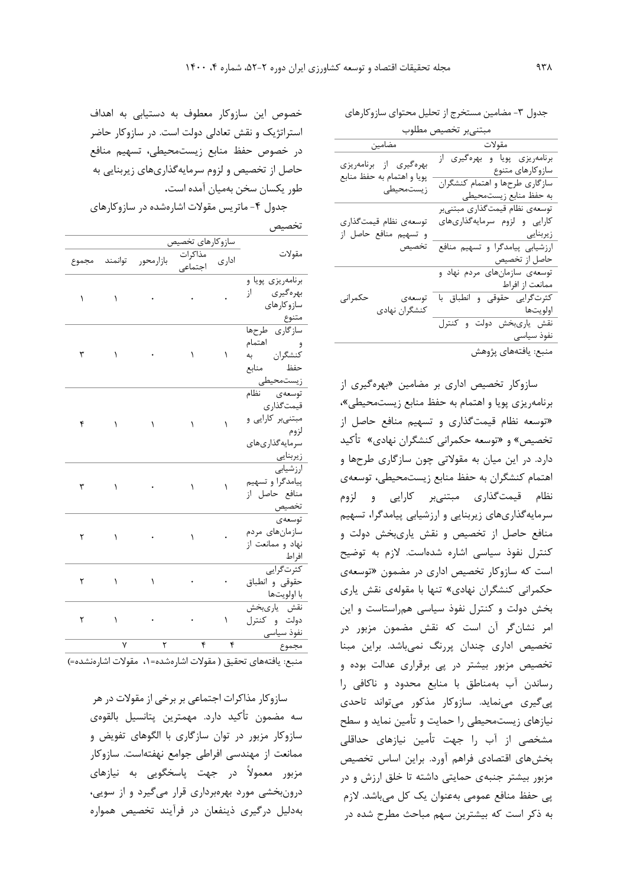جدول -3 مضامين مستخرج از تحليل محتوای سازوکارهای

|  | مبتنىبر تخصيص مطلوب |  |
|--|---------------------|--|
|  |                     |  |

| مضامين                                               | مقولات                                            |  |  |
|------------------------------------------------------|---------------------------------------------------|--|--|
| بهرهگیری از برنامهریزی<br>پويا و اهتمام به حفظ منابع | برنامهریزی پویا و بهرهگیری از<br>سازوكارهاى متنوع |  |  |
| زيستمحيطى                                            | سازگاری طرحها و اهتمام کنشگران                    |  |  |
|                                                      | به حفظ منابع زيستمحيطي                            |  |  |
|                                                      | توسعهى نظام قيمت گذارى مبتنىبر                    |  |  |
| توسعهى نظام قيمتگذارى                                | کارایی و لزوم سرمایهگذاریهای                      |  |  |
| و تسهيم منافع حاصل از                                |                                                   |  |  |
| تخصيص                                                | ارزشیابی پیامدگرا و تسهیم منافع                   |  |  |
|                                                      | حاصل از تخصیص                                     |  |  |
|                                                      | توسعهی سازمانهای مردم نهاد و                      |  |  |
|                                                      | ممانعت از افراط                                   |  |  |
| توسعەي<br>حكمراني                                    | کثرتگرایی حقوقی و انطباق با                       |  |  |
| كنشگران نهادى                                        | اولويتها المستنب                                  |  |  |
|                                                      | نقش پاریبخش دولت و کنترل                          |  |  |
|                                                      | نفوذ سياسى                                        |  |  |
|                                                      |                                                   |  |  |

منبع: يافتههای پژوهش

سازوکار تخصيص اداری بر مضامين »بهرهگيری از برنامهريزی پويا و اهتمام به حفظ منابع زيستمحيطی«، »توسعه نظام قيمتگذاری و تسهيم منافع حاصل از تخصيص« و »توسعه حکمرانی کنشگران نهادی« تأکيد دارد. در اين ميان به مقوالتی چون سازگاری طرحها و اهتمام کنشگران به حفظ منابع زيستمحيطی، توسعهی نظام قيمتگذاری مبتنیبر کارايی و لزوم سرمايهگذاریهای زيربنايی و ارزشيابی پيامدگرا، تسهيم منافع حاصل از تخصيص و نقش ياریبخش دولت و کنترل نفوذ سياسی اشاره شدهاست. الزم به توضيح است که سازوکار تخصيص اداری در مضمون »توسعهی حکمرانی کنشگران نهادی« تنها با مقولهی نقش ياری بخش دولت و کنترل نفوذ سياسی همراستاست و اين امر نشانگر آن است که نقش مضمون مزبور در تخصيص اداری چندان پررنگ نمیباشد. براين مبنا تخصيص مزبور بيشتر در پی برقراری عدالت بوده و رساندن آب بهمناطق با منابع محدود و ناکافی را پیگيری مینمايد. سازوکار مذکور میتواند تاحدی نيازهای زيستمحيطی را حمايت و تأمين نمايد و سطح مشخصی از آب را جهت تأمين نيازهای حداقلی بخشهای اقتصادی فراهم آورد. براين اساس تخصيص مزبور بيشتر جنبهی حمايتی داشته تا خلق ارزش و در پی حفظ منافع عمومی بهعنوان يک کل میباشد. الزم به ذکر است که بيشترين سهم مباحث مطرح شده در

خصوص اين سازوکار معطوف به دستيابی به اهداف استراتژيک و نقش تعادلی دولت است. در سازوکار حاضر در خصوص حفظ منابع زيستمحيطی، تسهيم منافع حاصل از تخصيص و لزوم سرمايهگذاریهای زيربنايی به طور يکسان سخن بهميان آمده است**.**

جدول -4 ماتريس مقوالت اشارهشده در سازوکارهای

| حد<br>т. |
|----------|
|----------|

|           |                      |                         | سازوكارهاي تخصيص        |                         |                                                                                             |
|-----------|----------------------|-------------------------|-------------------------|-------------------------|---------------------------------------------------------------------------------------------|
|           |                      | بازارمحور توانمند مجموع |                         |                         | مقولات                                                                                      |
| $\lambda$ | $\sim$ $\sim$ $\sim$ |                         |                         |                         | برنامەريزى پويا و<br>بهرهگیری<br>از<br>سازوكارهاى<br>متنوع                                  |
| ٣         | ١                    |                         | ١                       | $\backslash$            | سآزگاری طرحها<br>اهتمام<br>$\overline{\phantom{a}}$<br>كنشگران به<br>حفظ منابع<br>زيستمحيطى |
| ۴         | $\lambda$            | $\lambda$               | ١                       | $\lambda$               | توسعهى نظام<br>قيمتگذاري<br>مبتنیبر کارایی و<br>لزوم<br>سرمايه گذارىهاى<br>زیربنای <u>ی</u> |
| ٣         | $\lambda$            |                         | $\rightarrow$           | $\lambda$               | ارزشيابي<br>پیامدگرا و تسهیم<br>منافع حاصل از                                               |
| ٢         | $\lambda$            |                         | $\lambda$               |                         | توسعهى<br>سازمانهای مردم<br>نهاد و ممانعت از<br>افراط                                       |
| ٢         | $\lambda$            | $\lambda$               |                         |                         | كثرتگرايي<br>حقوقى وانطباق<br>با اولويتها                                                   |
| ٢         | $\lambda$            |                         |                         | $\backslash$            | نقش يارىبخش<br>دولت و كنترل<br>نفوذ سياسي                                                   |
|           | γ                    | $\overline{\mathbf{r}}$ | $\overline{\mathbf{r}}$ | $\overline{\mathbf{r}}$ | مجموع                                                                                       |

منبع: يافتههای تحقيق ( مقوالت اشارهشده=،1 مقوالت اشارهنشده=(

سازوکار مذاکرات اجتماعی بر برخی از مقوالت درهر سه مضمون تأکيد دارد. مهمترين پتانسيل بالقوهی سازوکار مزبور در توان سازگاری با الگوهای تفويض و ممانعت از مهندسی افراطی جوامع نهفتهاست. سازوکار مزبور معموالً در جهت پاسخگويی به نيازهای درونبخشی مورد بهرهبرداری قرار میگيرد و از سويی، بهدليل درگيری ذينفعان در فرآيند تخصيص همواره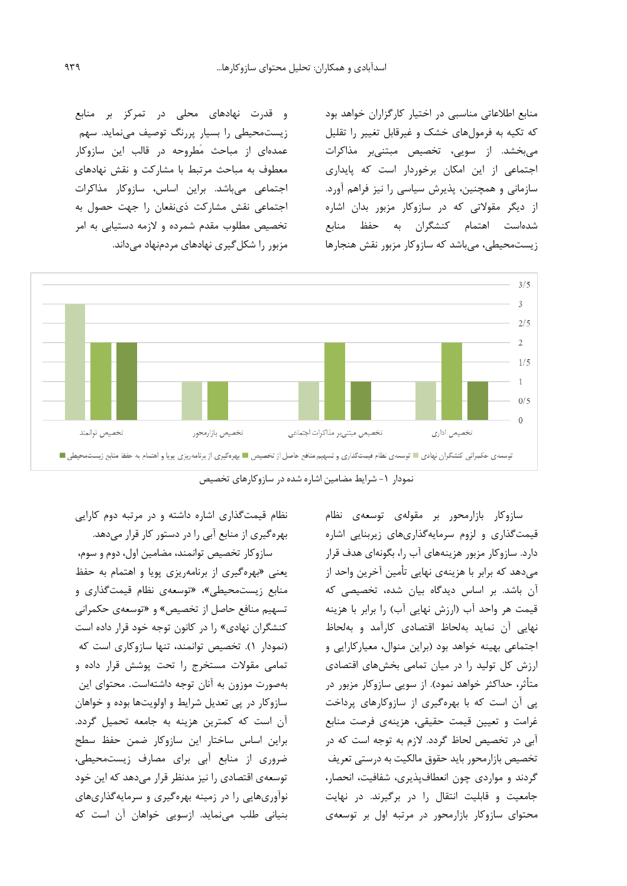منابع اطالعاتی مناسبی در اختيار کارگزاران خواهد بود که تکيه به فرمولهای خشک و غيرقابل تغيير را تقليل میبخشد. از سويی، تخصيص مبتنیبر مذاکرات اجتماعی از اين امکان برخوردار است که پايداری سازمانی و همچنين، پذيرش سياسی را نيز فراهم آورد. از ديگر مقوالتی که در سازوکار مزبور بدان اشاره شدهاست اهتمام کنشگران به حفظ منابع زيستمحيطی، میباشد که سازوکار مزبور نقش هنجارها

و قدرت نهادهای محلی در تمرکز بر منابع زيستمحيطی را بسيار پررنگ توصيف مینمايد. سهم عمدهای از مباحث مَطروحه در قالب اين سازوکار معطوف به مباحث مرتبط با مشارکت و نقش نهادهای اجتماعی میباشد. براين اساس، سازوکار مذاکرات اجتماعی نقش مشارکت ذینفعان را جهت حصول به تخصيص مطلوب مقدم شمرده و الزمه دستيابی به امر مزبور را شکلگيری نهادهای مردمنهاد میداند.



نمودار 1- شرايط مضامين اشاره شده در سازوکارهای تخصيص

نظام قيمتگذاری اشاره داشته و در مرتبه دوم کارايی بهرهگيری از منابع آبی را در دستور کار قرار میدهد. سازوکار تخصيص توانمند، مضامين اول، دوم و سوم، يعنی »بهرهگيری از برنامهريزی پويا و اهتمام به حفظ منابع زيستمحيطی«، »توسعهی نظام قيمتگذاری و تسهيم منافع حاصل از تخصيص« و »توسعهی حکمرانی کنشگران نهادی» را در کانون توجه خود قرار داده است )نمودار 1(. تخصيص توانمند، تنها سازوکاری است که تمامی مقوالت مستخرج را تحت پوشش قرار داده و بهصورت موزون به آنان توجه داشتهاست. محتوای اين سازوکار در پی تعديل شرايط و اولويتها بوده و خواهان آن است که کمترين هزينه به جامعه تحميل گردد. براين اساس ساختار اين سازوکار ضمن حفظ سطح ضروری از منابع آبی برای مصارف زيستمحيطی، توسعهی اقتصادی را نيز مدنظر قرار میدهد که اين خود نوآوریهايی را در زمينه بهرهگيری و سرمايهگذاریهای بنيانی طلب مینمايد. ازسويی خواهان آن است که

سازوکار بازارمحور بر مقولهی توسعهی نظام قيمتگذاری و لزوم سرمايهگذاریهای زيربنايی اشاره دارد. سازوکار مزبور هزينههای آب را، بگونهای هدف قرار میدهد که برابر با هزينهی نهايی تأمين آخرين واحد از آن باشد. بر اساس ديدگاه بيان شده، تخصيصی که قيمت هر واحد آب (ارزش نهايی آب) را برابر با هزينه نهايی آن نمايد بهلحاظ اقتصادی کارآمد و بهلحاظ اجتماعی بهينه خواهد بود )براين منوال، معيارکارايی و ارزش کل توليد را در ميان تمامی بخشهای اقتصادی متأثر، حداکثر خواهد نمود). از سويی سازوکار مزبور در پی آن است که با بهرهگيری از سازوکارهای پرداخت غرامت و تعيين قيمت حقيقی، هزينهی فرصت منابع آبی در تخصيص لحاظ گردد. الزم به توجه است که در تخصيص بازارمحور بايد حقوق مالکيت به درستی تعريف گردند و مواردی چون انعطافپذيری، شفافيت، انحصار، جامعيت و قابليت انتقال را در برگيرند. در نهايت محتوای سازوکار بازارمحور در مرتبه اول بر توسعهی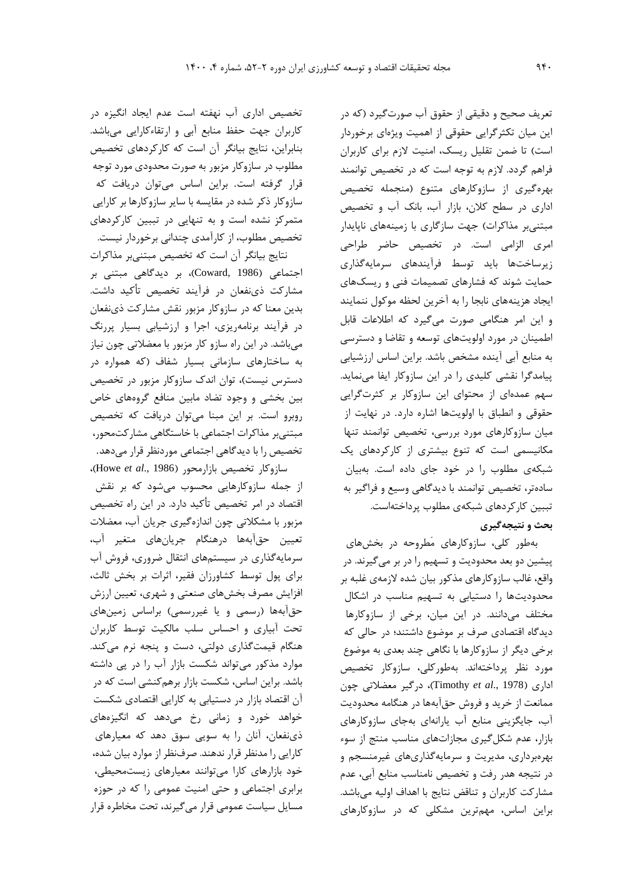تعريف صحيح و دقيقی از حقوق آب صورتگيرد )که در اين ميان تکثرگرايی حقوقی از اهميت ويژهای برخوردار است) تا ضمن تقليل ريسک، امنيت لازم برای کاربران فراهم گردد. الزم به توجه است که در تخصيص توانمند بهرهگيری از سازوکارهای متنوع )منجمله تخصيص اداری در سطح کالن، بازار آب، بانک آب و تخصيص مبتنیبر مذاکرات) جهت سازگاری با زمينههای ناپايدار امری الزامی است. در تخصيص حاضر طراحی زيرساختها بايد توسط فرآيندهای سرمايهگذاری حمايت شوند که فشارهای تصميمات فنی و ريسکهای ايجاد هزينههای نابجا را به آخرين لحظه موکول ننمايند و اين امر هنگامی صورت میگيرد که اطالعات قابل اطمينان در مورد اولويتهای توسعه و تقاضا و دسترسی به منابع آبی آينده مشخص باشد. براين اساس ارزشيابی پيامدگرا نقشی کليدی را در اين سازوکار ايفا مینمايد. سهم عمدهای از محتوای اين سازوکار بر کثرتگرايی حقوقی و انطباق با اولويتها اشاره دارد. در نهايت از ميان سازوکارهای مورد بررسی، تخصيص توانمند تنها مکانيسمی است که تنوع بيشتری از کارکردهای يک شبکهی مطلوب را در خود جای داده است. بهبيان سادهتر، تخصيص توانمند با ديدگاهی وسيع و فراگير به تببين کارکردهای شبکهی مطلوب پرداختهاست. **بحث و نتيجهگيري**

بهطور کلی، سازوکارهای مَطروحه در بخشهای پيشين دو بعد محدوديت و تسهيم را در بر میگيرند. در واقع، غالب سازوکارهای مذکور بيان شده الزمهی غلبه بر محدوديتها را دستيابی به تسهيم مناسب در اشکال مختلف میدانند. در اين ميان، برخی از سازوکارها ديدگاه اقتصادی صرف بر موضوع داشتند؛ در حالی که برخی ديگر از سازوکارها با نگاهی چند بعدی به موضوع مورد نظر پرداختهاند. بهطورکلی، سازوکار تخصيص اداری )1978 .,*al et* Timothy)، درگير معضالتی چون ممانعت از خريد و فروش حقآبهها در هنگامه محدوديت آب، جايگزينی منابع آب يارانهای بهجای سازوکارهای بازار، عدم شکلگيری مجازاتهای مناسب منتج از سوء بهرهبرداری، مديريت و سرمايهگذاریهای غيرمنسجم و در نتيجه هدر رفت و تخصيص نامناسب منابع آبی، عدم مشارکت کاربران و تناقض نتايج با اهداف اوليه میباشد. براين اساس، مهمترين مشکلی که در سازوکارهای

تخصيص اداری آب نهفته است عدم ايجاد انگيزه در کاربران جهت حفظ منابع آبی و ارتقاءکارايی میباشد. بنابراين، نتايج بيانگر آن است که کارکردهای تخصيص مطلوب در سازوکار مزبور به صورت محدودی مورد توجه قرار گرفته است. براين اساس میتوان دريافت که سازوکار ذکر شده در مقايسه با ساير سازوکارها بر کارايی متمرکز نشده است و به تنهايی در تببين کارکردهای تخصيص مطلوب، از کارآمدی چندانی برخوردار نيست.

نتايج بيانگر آن است که تخصيص مبتنیبر مذاکرات اجتماعی )1986 ,Coward)، بر ديدگاهی مبتنی بر مشارکت ذینفعان در فرآيند تخصيص تأکيد داشت. بدين معنا که در سازوکار مزبور نقش مشارکت ذینفعان در فرآيند برنامهريزی، اجرا و ارزشيابی بسيار پررنگ میباشد. در اين راه سازو کار مزبور با معضالتی چون نياز به ساختارهای سازمانی بسيار شفاف )که همواره در دسترس نيست(، توان اندک سازوکار مزبور در تخصيص بين بخشی و وجود تضاد مابين منافع گروههای خاص روبرو است. بر اين مبنا میتوان دريافت که تخصيص مبتنیبر مذاکرات اجتماعی با خاستگاهی مشارکتمحور، تخصيص را با ديدگاهی اجتماعی موردنظر قرار میدهد.

سازوکار تخصيص بازارمحور )1986 .,*al et* Howe)، از جمله سازوکارهايی محسوب میشود که بر نقش اقتصاد در امر تخصيص تأکيد دارد. در اين راه تخصيص مزبور با مشکالتی چون اندازهگيری جريان آب، معضالت تعيين حقآبهها درهنگام جريانهای متغير آب، سرمايهگذاری در سيستمهای انتقال ضروری، فروش آب برای پول توسط کشاورزان فقير، اثرات بر بخش ثالث، افزايش مصرف بخشهای صنعتی و شهری، تعيين ارزش حقآبهها (رسمی و يا غيررسمی) براساس زمينهای تحت آبياری و احساس سلب مالکيت توسط کاربران هنگام قيمتگذاری دولتی، دست و پنجه نرم میکند. موارد مذکور میتواند شکست بازار آب را در پی داشته باشد. براين اساس، شکست بازار برهمکنشی است که در آن اقتصاد بازار در دستيابی به کارايی اقتصادی شکست خواهد خورد و زمانی رخ میدهد که انگيزههای ذینفعان، آنان را به سويی سوق دهد که معيارهای کارايی را مدنظر قرار ندهند. صرفنظر از موارد بيان شده، خود بازارهای کارا میتوانند معيارهای زيستمحيطی، برابری اجتماعی و حتی امنيت عمومی را که در حوزه مسايل سياست عمومی قرار میگيرند، تحت مخاطره قرار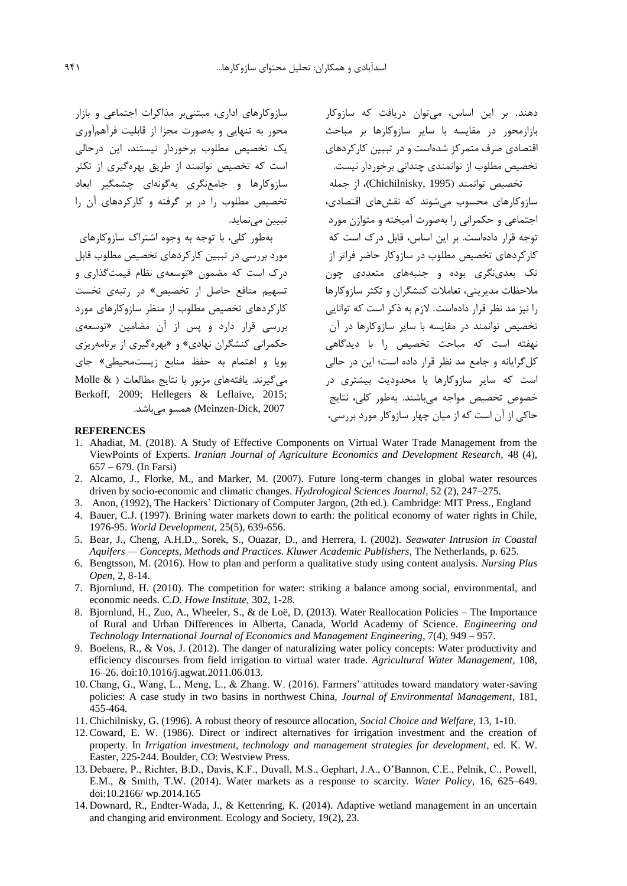سازوکارهای اداری، مبتنیبر مذاکرات اجتماعی و بازار محور به تنهايی و بهصورت مجزا از قابليت فرآهمآوری يک تخصيص مطلوب برخوردار نيستند، اين درحالی است که تخصيص توانمند از طريق بهرهگيری از تکثر سازوکارها و جامعنگری بهگونهای چشمگير ابعاد تخصيص مطلوب را در بر گرفته و کارکردهای آن را تبيين مینمايد.

بهطور کلی، با توجه به وجوه اشتراک سازوکارهای مورد بررسی در تببين کارکردهای تخصيص مطلوب قابل درک است که مضمون »توسعهی نظام قيمتگذاری و تسهيم منافع حاصل از تخصيص« در رتبهی نخست کارکردهای تخصيص مطلوب از منظر سازوکارهای مورد بررسی قرار دارد و پس از آن مضامين »توسعهی حکمرانی کنشگران نهادی« و »بهرهگيری از برنامهريزی پويا و اهتمام به حفظ منابع زيستمحيطی« جای میگيرند. يافتههای مزبور با نتايج مطالعات ) & Molle Berkoff, 2009; Hellegers & Leflaive, 2015; 2007 ,Meinzen-Dick) همسو می باشد.

دهند. بر اين اساس، میتوان دريافت که سازوکار بازارمحور در مقايسه با ساير سازوکارها بر مباحث اقتصادی صرف متمرکز شدهاست و در تببين کارکردهای تخصيص مطلوب از توانمندی چندانی برخوردار نيست.

تخصيص توانمند )1995 ,Chichilnisky)، از جمله سازوکارهای محسوب میشوند که نقشهای اقتصادی، اجتماعی و حکمرانی را بهصورت آميخته و متوازن مورد توجه قرار دادهاست. بر اين اساس، قابل درک است که کارکردهای تخصيص مطلوب در سازوکار حاضر فراتر از تک بعدینگری بوده و جنبههای متعددی چون مالحظات مديريتی، تعامالت کنشگران و تکثر سازوکارها را نيز مد نظر قرار دادهاست. الزم به ذکر است که توانايی تخصيص توانمند در مقايسه با ساير سازوکارها در آن نهفته است که مباحث تخصيص را با ديدگاهی کلگرايانه و جامع مد نظر قرار داده است؛ اين در حالی است که ساير سازوکارها با محدوديت بيشتری در خصوص تخصيص مواجه میباشند. بهطور کلی، نتايج حاکی از آن است که از ميان چهار سازوکار مورد بررسی،

#### **REFERENCES**

- 1. Ahadiat, M. (2018). A Study of Effective Components on Virtual Water Trade Management from the ViewPoints of Experts. *Iranian Journal of Agriculture Economics and Development Research,* 48 (4), 657 – 679. (In Farsi)
- 2. Alcamo, J., Florke, M., and Marker, M. (2007). Future long-term changes in global water resources driven by socio-economic and climatic changes. *Hydrological Sciences Journal*, 52 (2), 247–275.
- 3. Anon, (1992), The Hackers' Dictionary of Computer Jargon, (2th ed.). Cambridge: MIT Press., England
- 4. Bauer, C.J. (1997). Brining water markets down to earth: the political economy of water rights in Chile, 1976-95. *World Development,* 25(5), 639-656.
- 5. Bear, J., Cheng, A.H.D., Sorek, S., Ouazar, D., and Herrera, I. (2002). *Seawater Intrusion in Coastal Aquifers — Concepts, Methods and Practices. Kluwer Academic Publishers*, The Netherlands, p. 625.
- 6. Bengtsson, M. (2016). How to plan and perform a qualitative study using content analysis. *Nursing Plus Open,* 2, 8-14.
- 7. Bjornlund, H. (2010). The competition for water: striking a balance among social, environmental, and economic needs. *C.D. Howe Institute,* 302, 1-28.
- 8. Bjornlund, H., Zuo, A., Wheeler, S., & de Loë, D. (2013). Water Reallocation Policies The Importance of Rural and Urban Differences in Alberta, Canada, World Academy of Science. *Engineering and Technology International Journal of Economics and Management Engineering*, 7(4), 949 – 957.
- 9. Boelens, R., & Vos, J. (2012). The danger of naturalizing water policy concepts: Water productivity and efficiency discourses from field irrigation to virtual water trade. *Agricultural Water Management*, 108, 16–26. doi:10.1016/j.agwat.2011.06.013.
- 10.Chang, G., Wang, L., Meng, L., & Zhang. W. (2016). Farmers' attitudes toward mandatory water-saving policies: A case study in two basins in northwest China, *Journal of Environmental Management*, 181, 455-464.
- 11.Chichilnisky, G. (1996). A robust theory of resource allocation, *Social Choice and Welfare*, 13, 1-10.
- 12.Coward, E. W. (1986). Direct or indirect alternatives for irrigation investment and the creation of property. In *Irrigation investment, technology and management strategies for development*, ed. K. W. Easter, 225-244. Boulder, CO: Westview Press.
- 13. Debaere, P., Richter, B.D., Davis, K.F., Duvall, M.S., Gephart, J.A., O'Bannon, C.E., Pelnik, C., Powell, E.M., & Smith, T.W. (2014). Water markets as a response to scarcity. *Water Policy*, 16, 625–649. doi:10.2166/ wp.2014.165
- 14. Downard, R., Endter-Wada, J., & Kettenring, K. (2014). Adaptive wetland management in an uncertain and changing arid environment. Ecology and Society, 19(2), 23.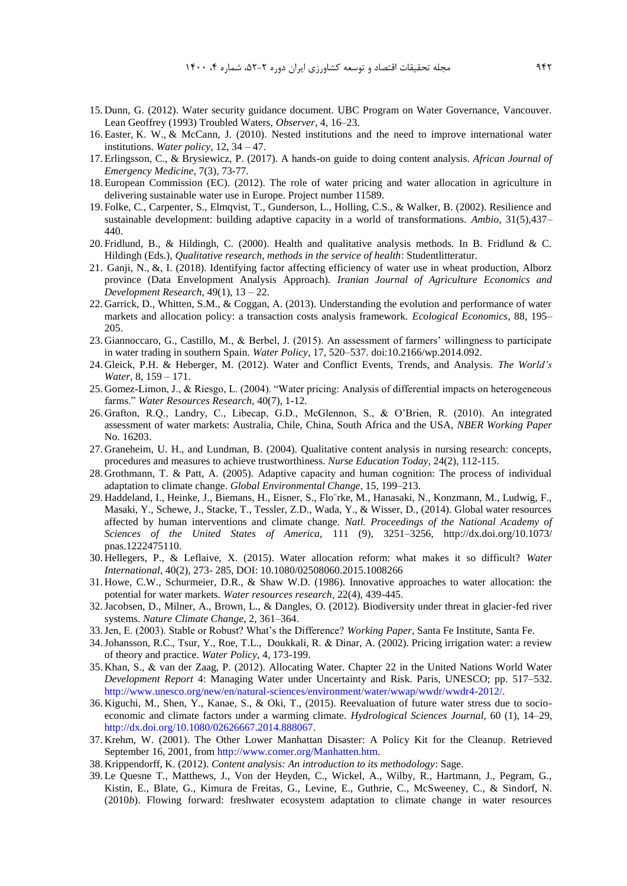- 15. Dunn, G. (2012). Water security guidance document. UBC Program on Water Governance, Vancouver. Lean Geoffrey (1993) Troubled Waters, *Observer*, 4, 16–23.
- 16. Easter, K. W., & McCann, J. (2010). Nested institutions and the need to improve international water institutions. *Water policy*, 12, 34 – 47.
- 17. Erlingsson, C., & Brysiewicz, P. (2017). A hands-on guide to doing content analysis. *African Journal of Emergency Medicine,* 7(3), 73-77.
- 18. European Commission (EC). (2012). The role of water pricing and water allocation in agriculture in delivering sustainable water use in Europe. Project number 11589.
- 19. Folke, C., Carpenter, S., Elmqvist, T., Gunderson, L., Holling, C.S., & Walker, B. (2002). Resilience and sustainable development: building adaptive capacity in a world of transformations. *Ambio,* 31(5),437– 440.
- 20. Fridlund, B., & Hildingh, C. (2000). Health and qualitative analysis methods. In B. Fridlund & C. Hildingh (Eds.), *Qualitative research, methods in the service of health*: Studentlitteratur.
- 21. Ganji, N., &, I. (2018). Identifying factor affecting efficiency of water use in wheat production, Alborz province (Data Envelopment Analysis Approach). *Iranian Journal of Agriculture Economics and Development Research*, 49(1), 13 – 22.
- 22. Garrick, D., Whitten, S.M., & Coggan, A. (2013). Understanding the evolution and performance of water markets and allocation policy: a transaction costs analysis framework. *Ecological Economics*, 88, 195– 205.
- 23. Giannoccaro, G., Castillo, M., & Berbel, J. (2015). An assessment of farmers' willingness to participate in water trading in southern Spain. *Water Policy*, 17, 520–537. doi:10.2166/wp.2014.092.
- 24. Gleick, P.H. & Heberger, M. (2012). Water and Conflict Events, Trends, and Analysis. *The World's Water,* 8, 159 – 171.
- 25. Gomez-Limon, J., & Riesgo, L. (2004). "Water pricing: Analysis of differential impacts on heterogeneous farms." *Water Resources Research,* 40(7), 1-12.
- 26. Grafton, R.Q., Landry, C., Libecap, G.D., McGlennon, S., & O'Brien, R. (2010). An integrated assessment of water markets: Australia, Chile, China, South Africa and the USA, *NBER Working Paper* No. 16203.
- 27. Graneheim, U. H., and Lundman, B. (2004). Qualitative content analysis in nursing research: concepts, procedures and measures to achieve trustworthiness. *Nurse Education Today,* 24(2), 112-115.
- 28. Grothmann, T. & Patt, A. (2005). Adaptive capacity and human cognition: The process of individual adaptation to climate change. *Global Environmental Change*, 15, 199–213.
- 29. Haddeland, I., Heinke, J., Biemans, H., Eisner, S., Flo¨rke, M., Hanasaki, N., Konzmann, M., Ludwig, F., Masaki, Y., Schewe, J., Stacke, T., Tessler, Z.D., Wada, Y., & Wisser, D., (2014). Global water resources affected by human interventions and climate change. *Natl. Proceedings of the National Academy of Sciences of the United States of America,* 111 (9), 3251–3256, http://dx.doi.org/10.1073/ pnas.1222475110.
- 30. Hellegers, P., & Leflaive, X. (2015). Water allocation reform: what makes it so difficult? *Water International*, 40(2), 273- 285, DOI: 10.1080/02508060.2015.1008266
- 31. Howe, C.W., Schurmeier, D.R., & Shaw W.D. (1986). Innovative approaches to water allocation: the potential for water markets. *Water resources research*, 22(4), 439-445.
- 32.Jacobsen, D., Milner, A., Brown, L., & Dangles, O. (2012). Biodiversity under threat in glacier-fed river systems. *Nature Climate Change*, 2, 361–364.
- 33.Jen, E. (2003). Stable or Robust? What's the Difference? *Working Paper*, Santa Fe Institute, Santa Fe.
- 34.Johansson, R.C., Tsur, Y., Roe, T.L., Doukkali, R. & Dinar, A. (2002). Pricing irrigation water: a review of theory and practice. *Water Policy,* 4, 173-199.
- 35. Khan, S., & van der Zaag, P. (2012). Allocating Water. Chapter 22 in the United Nations World Water *Development Report* 4: Managing Water under Uncertainty and Risk. Paris, UNESCO; pp. 517–532. http://www.unesco.org/new/en/natural-sciences/environment/water/wwap/wwdr/wwdr4-2012/.
- 36. Kiguchi, M., Shen, Y., Kanae, S., & Oki, T., (2015). Reevaluation of future water stress due to socioeconomic and climate factors under a warming climate. *Hydrological Sciences Journal,* 60 (1), 14–29, http://dx.doi.org/10.1080/02626667.2014.888067.
- 37. Krehm, W. (2001). The Other Lower Manhattan Disaster: A Policy Kit for the Cleanup. Retrieved September 16, 2001, from http://www.comer.org/Manhatten.htm.
- 38. Krippendorff, K. (2012). *Content analysis: An introduction to its methodology*: Sage.
- 39. Le Quesne T., Matthews, J., Von der Heyden, C., Wickel, A., Wilby, R., Hartmann, J., Pegram, G., Kistin, E., Blate, G., Kimura de Freitas, G., Levine, E., Guthrie, C., McSweeney, C., & Sindorf, N. (2010*b*). Flowing forward: freshwater ecosystem adaptation to climate change in water resources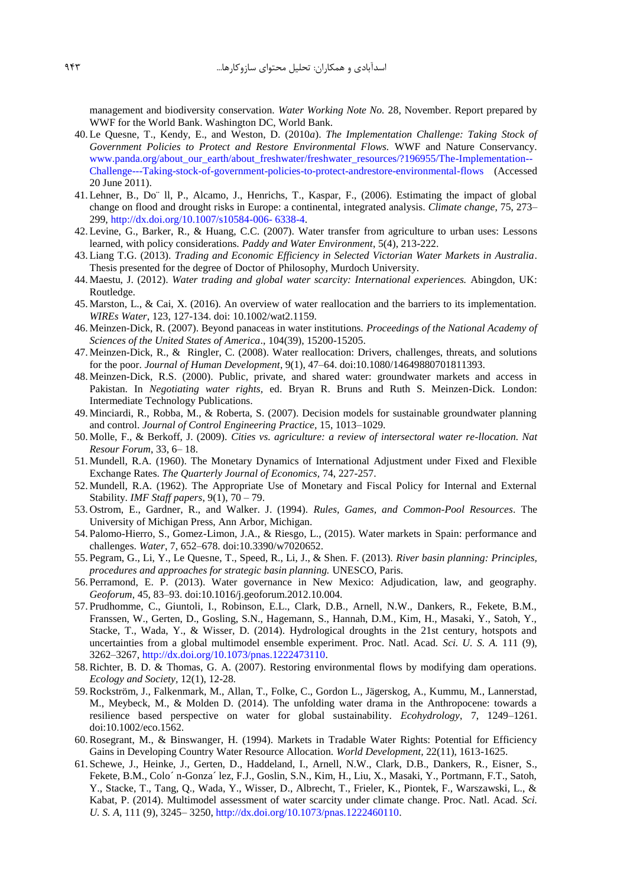management and biodiversity conservation. *Water Working Note No.* 28, November. Report prepared by WWF for the World Bank. Washington DC, World Bank.

- 40. Le Quesne, T., Kendy, E., and Weston, D. (2010*a*). *The Implementation Challenge: Taking Stock of Government Policies to Protect and Restore Environmental Flows.* WWF and Nature Conservancy. www.panda.org/about\_our\_earth/about\_freshwater/freshwater\_resources/?196955/The-Implementation-- Challenge---Taking-stock-of-government-policies-to-protect-andrestore-environmental-flows (Accessed 20 June 2011).
- 41. Lehner, B., Do¨ ll, P., Alcamo, J., Henrichs, T., Kaspar, F., (2006). Estimating the impact of global change on flood and drought risks in Europe: a continental, integrated analysis. *Climate change*, 75, 273– 299, http://dx.doi.org/10.1007/s10584-006- 6338-4.
- 42. Levine, G., Barker, R., & Huang, C.C. (2007). Water transfer from agriculture to urban uses: Lessons learned, with policy considerations. *Paddy and Water Environment*, 5(4), 213-222.
- 43. Liang T.G. (2013). *Trading and Economic Efficiency in Selected Victorian Water Markets in Australia*. Thesis presented for the degree of Doctor of Philosophy, Murdoch University.
- 44. Maestu, J. (2012). *Water trading and global water scarcity: International experiences.* Abingdon, UK: Routledge.
- 45. Marston, L., & Cai, X. (2016). An overview of water reallocation and the barriers to its implementation. *WIREs Water*, 123, 127-134. doi: 10.1002/wat2.1159.
- 46. Meinzen-Dick, R. (2007). Beyond panaceas in water institutions. *Proceedings of the National Academy of Sciences of the United States of America*., 104(39), 15200-15205.
- 47. Meinzen-Dick, R., & Ringler, C. (2008). Water reallocation: Drivers, challenges, threats, and solutions for the poor. *Journal of Human Development*, 9(1), 47–64. doi:10.1080/14649880701811393.
- 48. Meinzen-Dick, R.S. (2000). Public, private, and shared water: groundwater markets and access in Pakistan. In *Negotiating water rights,* ed. Bryan R. Bruns and Ruth S. Meinzen-Dick. London: Intermediate Technology Publications.
- 49. Minciardi, R., Robba, M., & Roberta, S. (2007). Decision models for sustainable groundwater planning and control. *Journal of Control Engineering Practice,* 15, 1013–1029.
- 50. Molle, F., & Berkoff, J. (2009). *Cities vs. agriculture: a review of intersectoral water re-llocation. Nat Resour Forum*, 33, 6– 18.
- 51. Mundell, R.A. (1960). The Monetary Dynamics of International Adjustment under Fixed and Flexible Exchange Rates. *The Quarterly Journal of Economics,* 74, 227-257.
- 52. Mundell, R.A. (1962). The Appropriate Use of Monetary and Fiscal Policy for Internal and External Stability. *IMF Staff papers*, 9(1), 70 – 79.
- 53. Ostrom, E., Gardner, R., and Walker. J. (1994). *Rules, Games, and Common-Pool Resources*. The University of Michigan Press, Ann Arbor, Michigan.
- 54. Palomo-Hierro, S., Gomez-Limon, J.A., & Riesgo, L., (2015). Water markets in Spain: performance and challenges. *Water*, 7, 652–678. doi:10.3390/w7020652.
- 55. Pegram, G., Li, Y., Le Quesne, T., Speed, R., Li, J., & Shen. F. (2013). *River basin planning: Principles, procedures and approaches for strategic basin planning.* UNESCO, Paris.
- 56. Perramond, E. P. (2013). Water governance in New Mexico: Adjudication, law, and geography. *Geoforum*, 45, 83–93. doi:10.1016/j.geoforum.2012.10.004.
- 57. Prudhomme, C., Giuntoli, I., Robinson, E.L., Clark, D.B., Arnell, N.W., Dankers, R., Fekete, B.M., Franssen, W., Gerten, D., Gosling, S.N., Hagemann, S., Hannah, D.M., Kim, H., Masaki, Y., Satoh, Y., Stacke, T., Wada, Y., & Wisser, D. (2014). Hydrological droughts in the 21st century, hotspots and uncertainties from a global multimodel ensemble experiment. Proc. Natl. Acad. *Sci. U. S. A.* 111 (9), 3262–3267, http://dx.doi.org/10.1073/pnas.1222473110.
- 58.Richter, B. D. & Thomas, G. A. (2007). Restoring environmental flows by modifying dam operations. *Ecology and Society,* 12(1), 12-28*.*
- 59.Rockström, J., Falkenmark, M., Allan, T., Folke, C., Gordon L., Jägerskog, A., Kummu, M., Lannerstad, M., Meybeck, M., & Molden D. (2014). The unfolding water drama in the Anthropocene: towards a resilience based perspective on water for global sustainability. *Ecohydrology*, 7, 1249–1261. doi:10.1002/eco.1562.
- 60.Rosegrant, M., & Binswanger, H. (1994). Markets in Tradable Water Rights: Potential for Efficiency Gains in Developing Country Water Resource Allocation. *World Development,* 22(11), 1613-1625.
- 61. Schewe, J., Heinke, J., Gerten, D., Haddeland, I., Arnell, N.W., Clark, D.B., Dankers, R., Eisner, S., Fekete, B.M., Colo´ n-Gonza´ lez, F.J., Goslin, S.N., Kim, H., Liu, X., Masaki, Y., Portmann, F.T., Satoh, Y., Stacke, T., Tang, Q., Wada, Y., Wisser, D., Albrecht, T., Frieler, K., Piontek, F., Warszawski, L., & Kabat, P. (2014). Multimodel assessment of water scarcity under climate change. Proc. Natl. Acad. *Sci. U. S. A,* 111 (9), 3245– 3250, http://dx.doi.org/10.1073/pnas.1222460110.